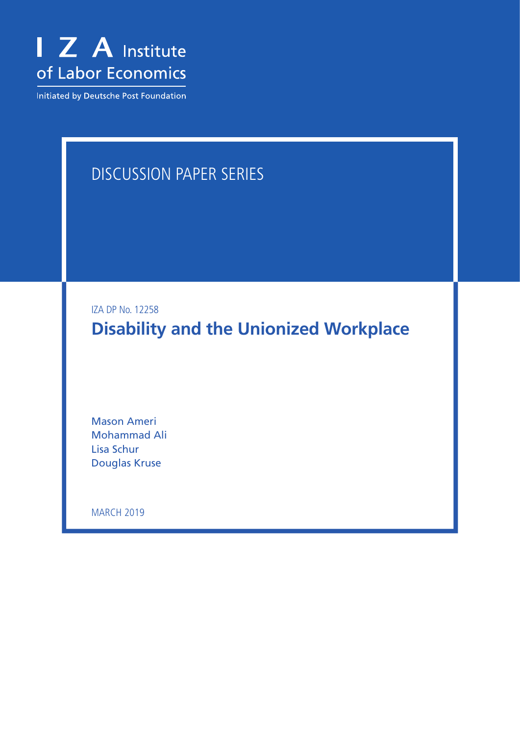

Initiated by Deutsche Post Foundation

## DISCUSSION PAPER SERIES

IZA DP No. 12258

**Disability and the Unionized Workplace**

Mason Ameri Mohammad Ali Lisa Schur Douglas Kruse

**MARCH 2019**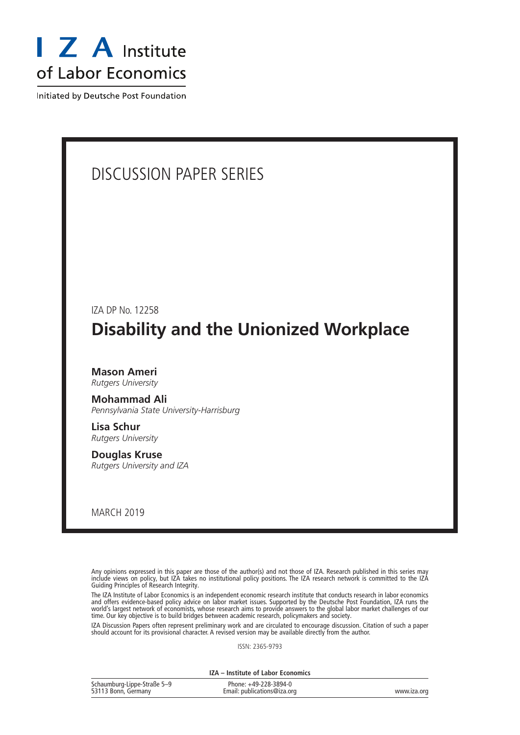

Initiated by Deutsche Post Foundation

# DISCUSSION PAPER SERIES IZA DP No. 12258 **Disability and the Unionized Workplace Mason Ameri** *Rutgers University* **Mohammad Ali** *Pennsylvania State University-Harrisburg* **Lisa Schur** *Rutgers University* **Douglas Kruse** *Rutgers University and IZA*

MARCH 2019

Any opinions expressed in this paper are those of the author(s) and not those of IZA. Research published in this series may include views on policy, but IZA takes no institutional policy positions. The IZA research network is committed to the IZA Guiding Principles of Research Integrity.

The IZA Institute of Labor Economics is an independent economic research institute that conducts research in labor economics and offers evidence-based policy advice on labor market issues. Supported by the Deutsche Post Foundation, IZA runs the world's largest network of economists, whose research aims to provide answers to the global labor market challenges of our time. Our key objective is to build bridges between academic research, policymakers and society.

IZA Discussion Papers often represent preliminary work and are circulated to encourage discussion. Citation of such a paper should account for its provisional character. A revised version may be available directly from the author.

ISSN: 2365-9793

**IZA – Institute of Labor Economics**

| Schaumburg-Lippe-Straße 5-9 | Phone: +49-228-3894-0       |             |
|-----------------------------|-----------------------------|-------------|
| 53113 Bonn, Germany         | Email: publications@iza.org | www.iza.org |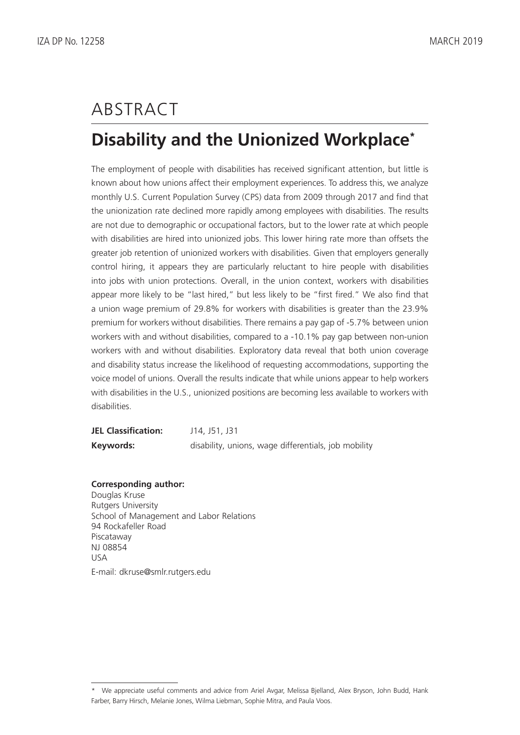# ABSTRACT

### **Disability and the Unionized Workplace\***

The employment of people with disabilities has received significant attention, but little is known about how unions affect their employment experiences. To address this, we analyze monthly U.S. Current Population Survey (CPS) data from 2009 through 2017 and find that the unionization rate declined more rapidly among employees with disabilities. The results are not due to demographic or occupational factors, but to the lower rate at which people with disabilities are hired into unionized jobs. This lower hiring rate more than offsets the greater job retention of unionized workers with disabilities. Given that employers generally control hiring, it appears they are particularly reluctant to hire people with disabilities into jobs with union protections. Overall, in the union context, workers with disabilities appear more likely to be "last hired," but less likely to be "first fired." We also find that a union wage premium of 29.8% for workers with disabilities is greater than the 23.9% premium for workers without disabilities. There remains a pay gap of -5.7% between union workers with and without disabilities, compared to a -10.1% pay gap between non-union workers with and without disabilities. Exploratory data reveal that both union coverage and disability status increase the likelihood of requesting accommodations, supporting the voice model of unions. Overall the results indicate that while unions appear to help workers with disabilities in the U.S., unionized positions are becoming less available to workers with disabilities.

| <b>JEL Classification:</b> | J14, J51, J31                                        |
|----------------------------|------------------------------------------------------|
| Keywords:                  | disability, unions, wage differentials, job mobility |

#### **Corresponding author:**

Douglas Kruse Rutgers University School of Management and Labor Relations 94 Rockafeller Road Piscataway NJ 08854 USA E-mail: dkruse@smlr.rutgers.edu

<sup>\*</sup> We appreciate useful comments and advice from Ariel Avgar, Melissa Bjelland, Alex Bryson, John Budd, Hank Farber, Barry Hirsch, Melanie Jones, Wilma Liebman, Sophie Mitra, and Paula Voos.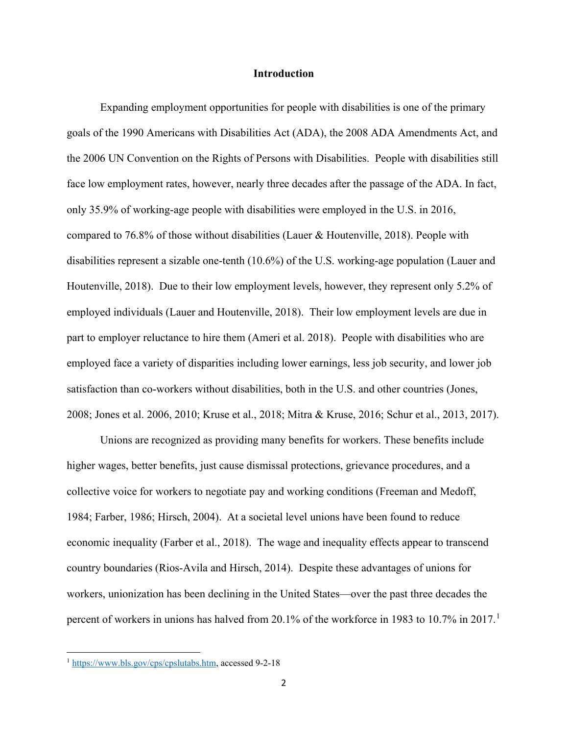#### **Introduction**

Expanding employment opportunities for people with disabilities is one of the primary goals of the 1990 Americans with Disabilities Act (ADA), the 2008 ADA Amendments Act, and the 2006 UN Convention on the Rights of Persons with Disabilities. People with disabilities still face low employment rates, however, nearly three decades after the passage of the ADA. In fact, only 35.9% of working-age people with disabilities were employed in the U.S. in 2016, compared to 76.8% of those without disabilities (Lauer & Houtenville, 2018). People with disabilities represent a sizable one-tenth (10.6%) of the U.S. working-age population (Lauer and Houtenville, 2018). Due to their low employment levels, however, they represent only 5.2% of employed individuals (Lauer and Houtenville, 2018). Their low employment levels are due in part to employer reluctance to hire them (Ameri et al. 2018). People with disabilities who are employed face a variety of disparities including lower earnings, less job security, and lower job satisfaction than co-workers without disabilities, both in the U.S. and other countries (Jones, 2008; Jones et al. 2006, 2010; Kruse et al., 2018; Mitra & Kruse, 2016; Schur et al., 2013, 2017).

Unions are recognized as providing many benefits for workers. These benefits include higher wages, better benefits, just cause dismissal protections, grievance procedures, and a collective voice for workers to negotiate pay and working conditions (Freeman and Medoff, 1984; Farber, 1986; Hirsch, 2004). At a societal level unions have been found to reduce economic inequality (Farber et al., 2018). The wage and inequality effects appear to transcend country boundaries (Rios-Avila and Hirsch, 2014). Despite these advantages of unions for workers, unionization has been declining in the United States—over the past three decades the percent of workers in unions has halved from 20.1% of the workforce in 1983 to 10.7% in 2017.<sup>1</sup>

l

<sup>1</sup> [https://www.bls.gov/cps/cpslutabs.htm,](https://www.bls.gov/cps/cpslutabs.htm) accessed 9-2-18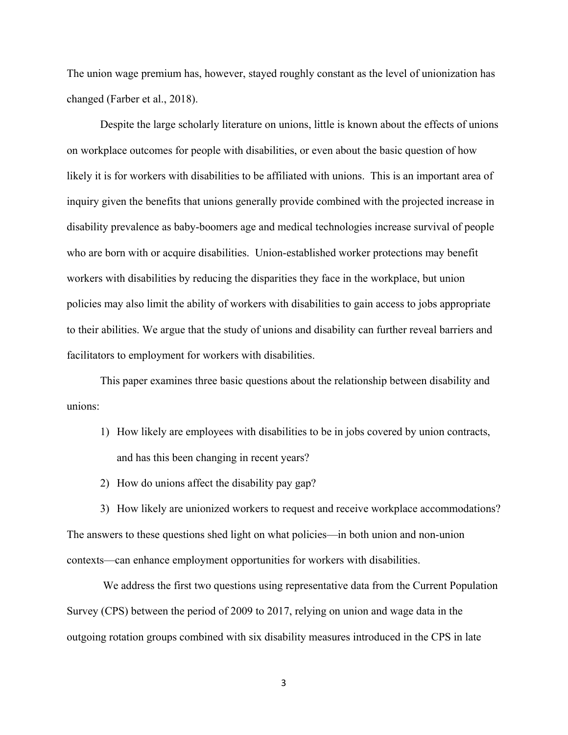The union wage premium has, however, stayed roughly constant as the level of unionization has changed (Farber et al., 2018).

Despite the large scholarly literature on unions, little is known about the effects of unions on workplace outcomes for people with disabilities, or even about the basic question of how likely it is for workers with disabilities to be affiliated with unions. This is an important area of inquiry given the benefits that unions generally provide combined with the projected increase in disability prevalence as baby-boomers age and medical technologies increase survival of people who are born with or acquire disabilities. Union-established worker protections may benefit workers with disabilities by reducing the disparities they face in the workplace, but union policies may also limit the ability of workers with disabilities to gain access to jobs appropriate to their abilities. We argue that the study of unions and disability can further reveal barriers and facilitators to employment for workers with disabilities.

This paper examines three basic questions about the relationship between disability and unions:

- 1) How likely are employees with disabilities to be in jobs covered by union contracts, and has this been changing in recent years?
- 2) How do unions affect the disability pay gap?

3) How likely are unionized workers to request and receive workplace accommodations? The answers to these questions shed light on what policies—in both union and non-union contexts—can enhance employment opportunities for workers with disabilities.

We address the first two questions using representative data from the Current Population Survey (CPS) between the period of 2009 to 2017, relying on union and wage data in the outgoing rotation groups combined with six disability measures introduced in the CPS in late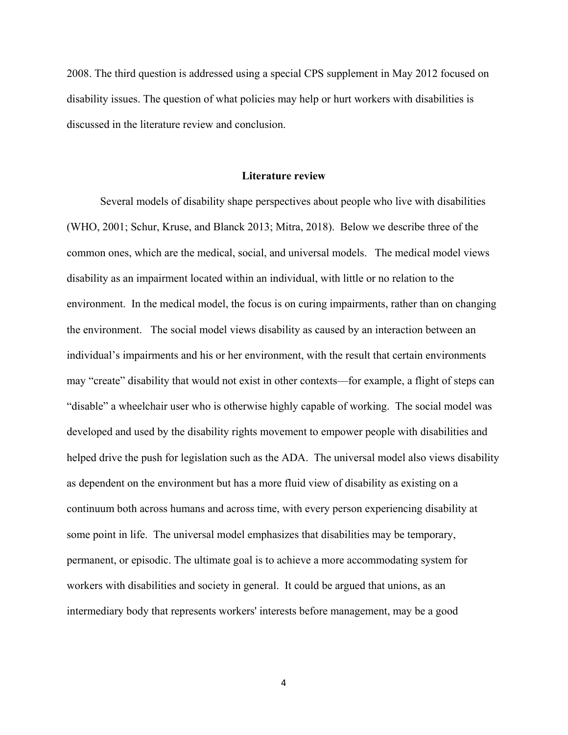2008. The third question is addressed using a special CPS supplement in May 2012 focused on disability issues. The question of what policies may help or hurt workers with disabilities is discussed in the literature review and conclusion.

#### **Literature review**

Several models of disability shape perspectives about people who live with disabilities (WHO, 2001; Schur, Kruse, and Blanck 2013; Mitra, 2018). Below we describe three of the common ones, which are the medical, social, and universal models. The medical model views disability as an impairment located within an individual, with little or no relation to the environment. In the medical model, the focus is on curing impairments, rather than on changing the environment. The social model views disability as caused by an interaction between an individual's impairments and his or her environment, with the result that certain environments may "create" disability that would not exist in other contexts—for example, a flight of steps can "disable" a wheelchair user who is otherwise highly capable of working. The social model was developed and used by the disability rights movement to empower people with disabilities and helped drive the push for legislation such as the ADA. The universal model also views disability as dependent on the environment but has a more fluid view of disability as existing on a continuum both across humans and across time, with every person experiencing disability at some point in life. The universal model emphasizes that disabilities may be temporary, permanent, or episodic. The ultimate goal is to achieve a more accommodating system for workers with disabilities and society in general. It could be argued that unions, as an intermediary body that represents workers' interests before management, may be a good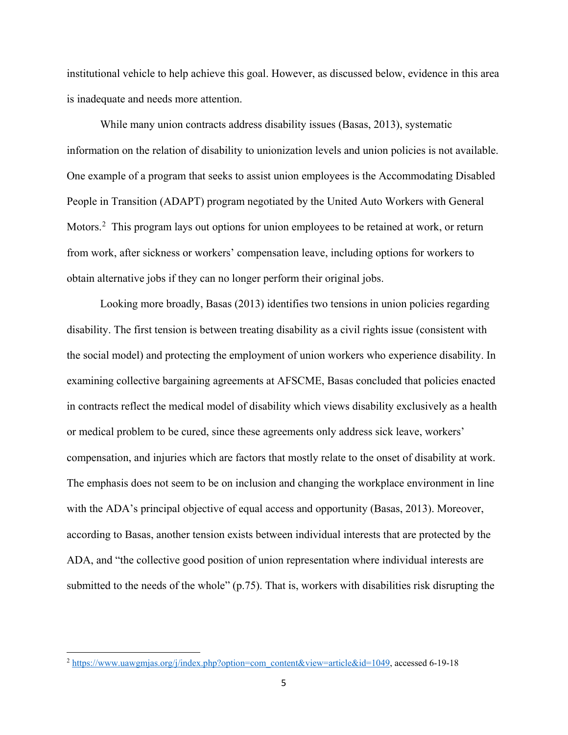institutional vehicle to help achieve this goal. However, as discussed below, evidence in this area is inadequate and needs more attention.

While many union contracts address disability issues (Basas, 2013), systematic information on the relation of disability to unionization levels and union policies is not available. One example of a program that seeks to assist union employees is the Accommodating Disabled People in Transition (ADAPT) program negotiated by the United Auto Workers with General Motors.<sup>[2](#page-6-0)</sup> This program lays out options for union employees to be retained at work, or return from work, after sickness or workers' compensation leave, including options for workers to obtain alternative jobs if they can no longer perform their original jobs.

Looking more broadly, Basas (2013) identifies two tensions in union policies regarding disability. The first tension is between treating disability as a civil rights issue (consistent with the social model) and protecting the employment of union workers who experience disability. In examining collective bargaining agreements at AFSCME, Basas concluded that policies enacted in contracts reflect the medical model of disability which views disability exclusively as a health or medical problem to be cured, since these agreements only address sick leave, workers' compensation, and injuries which are factors that mostly relate to the onset of disability at work. The emphasis does not seem to be on inclusion and changing the workplace environment in line with the ADA's principal objective of equal access and opportunity (Basas, 2013). Moreover, according to Basas, another tension exists between individual interests that are protected by the ADA, and "the collective good position of union representation where individual interests are submitted to the needs of the whole" (p.75). That is, workers with disabilities risk disrupting the

l

<span id="page-6-0"></span><sup>2</sup> [https://www.uawgmjas.org/j/index.php?option=com\\_content&view=article&id=1049,](https://www.uawgmjas.org/j/index.php?option=com_content&view=article&id=1049) accessed 6-19-18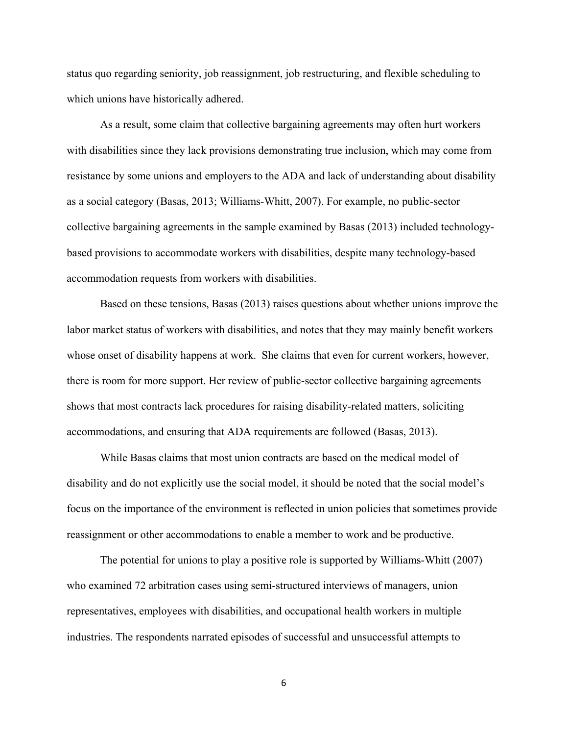status quo regarding seniority, job reassignment, job restructuring, and flexible scheduling to which unions have historically adhered.

As a result, some claim that collective bargaining agreements may often hurt workers with disabilities since they lack provisions demonstrating true inclusion, which may come from resistance by some unions and employers to the ADA and lack of understanding about disability as a social category (Basas, 2013; Williams-Whitt, 2007). For example, no public-sector collective bargaining agreements in the sample examined by Basas (2013) included technologybased provisions to accommodate workers with disabilities, despite many technology-based accommodation requests from workers with disabilities.

Based on these tensions, Basas (2013) raises questions about whether unions improve the labor market status of workers with disabilities, and notes that they may mainly benefit workers whose onset of disability happens at work. She claims that even for current workers, however, there is room for more support. Her review of public-sector collective bargaining agreements shows that most contracts lack procedures for raising disability-related matters, soliciting accommodations, and ensuring that ADA requirements are followed (Basas, 2013).

While Basas claims that most union contracts are based on the medical model of disability and do not explicitly use the social model, it should be noted that the social model's focus on the importance of the environment is reflected in union policies that sometimes provide reassignment or other accommodations to enable a member to work and be productive.

The potential for unions to play a positive role is supported by Williams-Whitt (2007) who examined 72 arbitration cases using semi-structured interviews of managers, union representatives, employees with disabilities, and occupational health workers in multiple industries. The respondents narrated episodes of successful and unsuccessful attempts to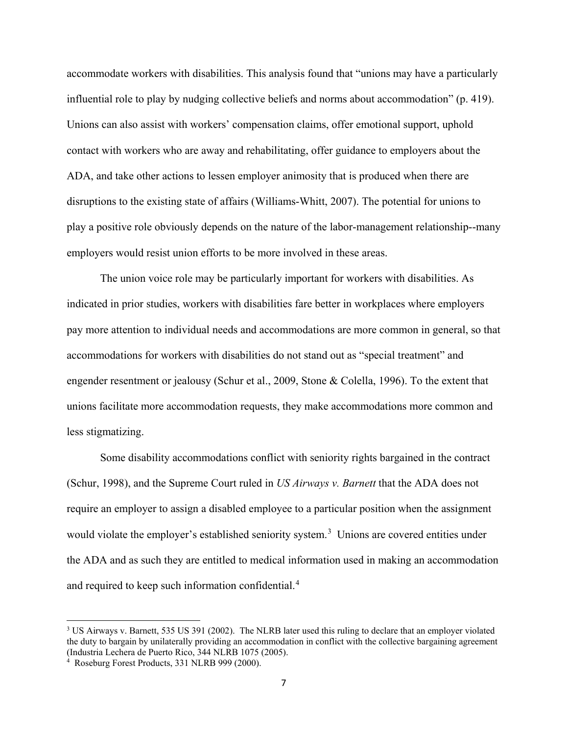accommodate workers with disabilities. This analysis found that "unions may have a particularly influential role to play by nudging collective beliefs and norms about accommodation" (p. 419). Unions can also assist with workers' compensation claims, offer emotional support, uphold contact with workers who are away and rehabilitating, offer guidance to employers about the ADA, and take other actions to lessen employer animosity that is produced when there are disruptions to the existing state of affairs (Williams-Whitt, 2007). The potential for unions to play a positive role obviously depends on the nature of the labor-management relationship--many employers would resist union efforts to be more involved in these areas.

The union voice role may be particularly important for workers with disabilities. As indicated in prior studies, workers with disabilities fare better in workplaces where employers pay more attention to individual needs and accommodations are more common in general, so that accommodations for workers with disabilities do not stand out as "special treatment" and engender resentment or jealousy (Schur et al., 2009, Stone & Colella, 1996). To the extent that unions facilitate more accommodation requests, they make accommodations more common and less stigmatizing.

Some disability accommodations conflict with seniority rights bargained in the contract (Schur, 1998), and the Supreme Court ruled in *US Airways v. Barnett* that the ADA does not require an employer to assign a disabled employee to a particular position when the assignment would violate the employer's established seniority system.<sup>[3](#page-8-0)</sup> Unions are covered entities under the ADA and as such they are entitled to medical information used in making an accommodation and required to keep such information confidential. [4](#page-8-1)

l

<span id="page-8-0"></span><sup>&</sup>lt;sup>3</sup> US Airways v. Barnett, 535 US 391 (2002). The NLRB later used this ruling to declare that an employer violated the duty to bargain by unilaterally providing an accommodation in conflict with the collective bargaining agreement (Industria Lechera de Puerto Rico, 344 NLRB 1075 (2005).

<span id="page-8-1"></span><sup>4</sup> Roseburg Forest Products, 331 NLRB 999 (2000).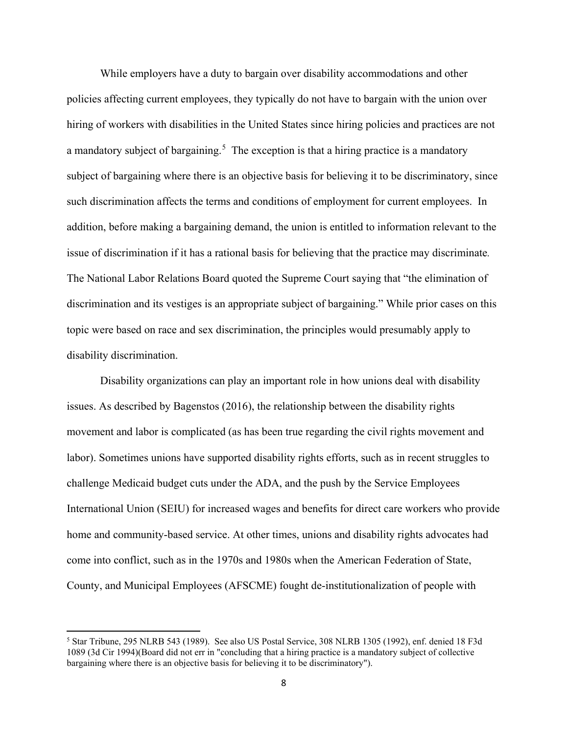While employers have a duty to bargain over disability accommodations and other policies affecting current employees, they typically do not have to bargain with the union over hiring of workers with disabilities in the United States since hiring policies and practices are not a mandatory subject of bargaining.<sup>[5](#page-9-0)</sup> The exception is that a hiring practice is a mandatory subject of bargaining where there is an objective basis for believing it to be discriminatory, since such discrimination affects the terms and conditions of employment for current employees. In addition, before making a bargaining demand, the union is entitled to information relevant to the issue of discrimination if it has a rational basis for believing that the practice may discriminate*.*  The National Labor Relations Board quoted the Supreme Court saying that "the elimination of discrimination and its vestiges is an appropriate subject of bargaining." While prior cases on this topic were based on race and sex discrimination, the principles would presumably apply to disability discrimination.

Disability organizations can play an important role in how unions deal with disability issues. As described by Bagenstos (2016), the relationship between the disability rights movement and labor is complicated (as has been true regarding the civil rights movement and labor). Sometimes unions have supported disability rights efforts, such as in recent struggles to challenge Medicaid budget cuts under the ADA, and the push by the Service Employees International Union (SEIU) for increased wages and benefits for direct care workers who provide home and community-based service. At other times, unions and disability rights advocates had come into conflict, such as in the 1970s and 1980s when the American Federation of State, County, and Municipal Employees (AFSCME) fought de-institutionalization of people with

 $\overline{a}$ 

<span id="page-9-0"></span><sup>5</sup> Star Tribune, 295 NLRB 543 (1989). See also US Postal Service, 308 NLRB 1305 (1992), enf. denied 18 F3d 1089 (3d Cir 1994)(Board did not err in "concluding that a hiring practice is a mandatory subject of collective bargaining where there is an objective basis for believing it to be discriminatory").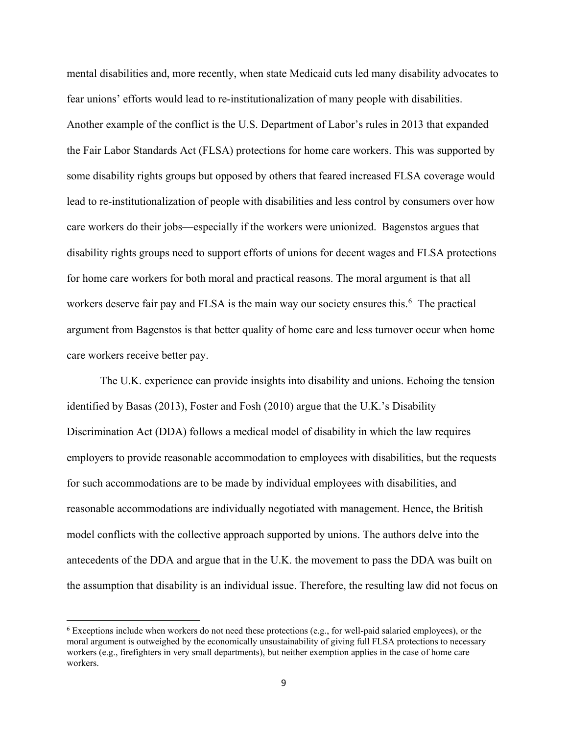mental disabilities and, more recently, when state Medicaid cuts led many disability advocates to fear unions' efforts would lead to re-institutionalization of many people with disabilities. Another example of the conflict is the U.S. Department of Labor's rules in 2013 that expanded the Fair Labor Standards Act (FLSA) protections for home care workers. This was supported by some disability rights groups but opposed by others that feared increased FLSA coverage would lead to re-institutionalization of people with disabilities and less control by consumers over how care workers do their jobs—especially if the workers were unionized. Bagenstos argues that disability rights groups need to support efforts of unions for decent wages and FLSA protections for home care workers for both moral and practical reasons. The moral argument is that all workers deserve fair pay and FLSA is the main way our society ensures this.<sup>[6](#page-10-0)</sup> The practical argument from Bagenstos is that better quality of home care and less turnover occur when home care workers receive better pay.

The U.K. experience can provide insights into disability and unions. Echoing the tension identified by Basas (2013), Foster and Fosh (2010) argue that the U.K.'s Disability Discrimination Act (DDA) follows a medical model of disability in which the law requires employers to provide reasonable accommodation to employees with disabilities, but the requests for such accommodations are to be made by individual employees with disabilities, and reasonable accommodations are individually negotiated with management. Hence, the British model conflicts with the collective approach supported by unions. The authors delve into the antecedents of the DDA and argue that in the U.K. the movement to pass the DDA was built on the assumption that disability is an individual issue. Therefore, the resulting law did not focus on

l

<span id="page-10-0"></span><sup>6</sup> Exceptions include when workers do not need these protections (e.g., for well-paid salaried employees), or the moral argument is outweighed by the economically unsustainability of giving full FLSA protections to necessary workers (e.g., firefighters in very small departments), but neither exemption applies in the case of home care workers.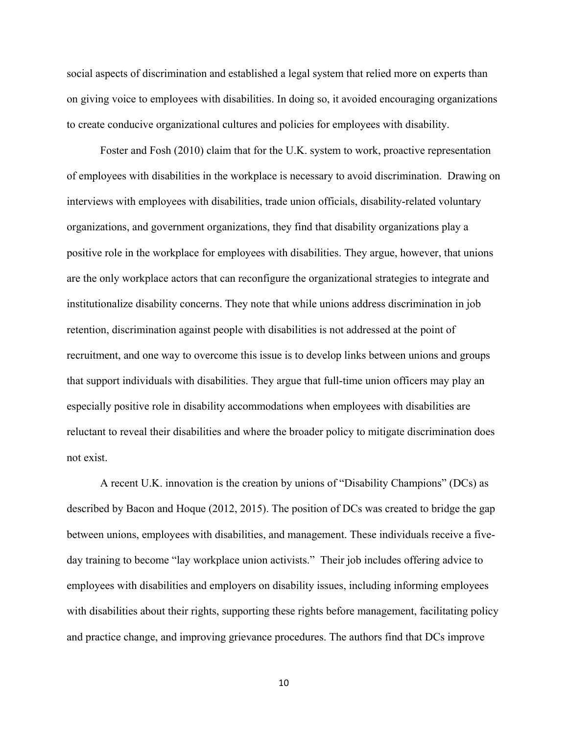social aspects of discrimination and established a legal system that relied more on experts than on giving voice to employees with disabilities. In doing so, it avoided encouraging organizations to create conducive organizational cultures and policies for employees with disability.

Foster and Fosh (2010) claim that for the U.K. system to work, proactive representation of employees with disabilities in the workplace is necessary to avoid discrimination. Drawing on interviews with employees with disabilities, trade union officials, disability-related voluntary organizations, and government organizations, they find that disability organizations play a positive role in the workplace for employees with disabilities. They argue, however, that unions are the only workplace actors that can reconfigure the organizational strategies to integrate and institutionalize disability concerns. They note that while unions address discrimination in job retention, discrimination against people with disabilities is not addressed at the point of recruitment, and one way to overcome this issue is to develop links between unions and groups that support individuals with disabilities. They argue that full-time union officers may play an especially positive role in disability accommodations when employees with disabilities are reluctant to reveal their disabilities and where the broader policy to mitigate discrimination does not exist.

A recent U.K. innovation is the creation by unions of "Disability Champions" (DCs) as described by Bacon and Hoque (2012, 2015). The position of DCs was created to bridge the gap between unions, employees with disabilities, and management. These individuals receive a fiveday training to become "lay workplace union activists." Their job includes offering advice to employees with disabilities and employers on disability issues, including informing employees with disabilities about their rights, supporting these rights before management, facilitating policy and practice change, and improving grievance procedures. The authors find that DCs improve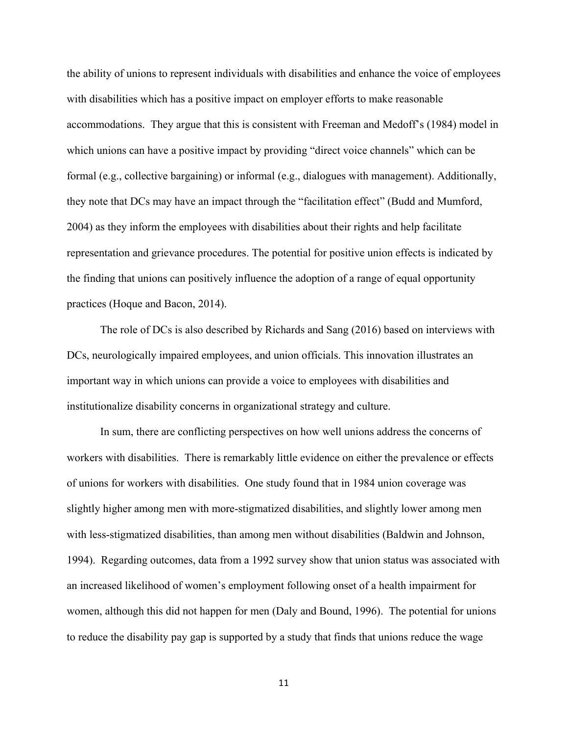the ability of unions to represent individuals with disabilities and enhance the voice of employees with disabilities which has a positive impact on employer efforts to make reasonable accommodations. They argue that this is consistent with Freeman and Medoff's (1984) model in which unions can have a positive impact by providing "direct voice channels" which can be formal (e.g., collective bargaining) or informal (e.g., dialogues with management). Additionally, they note that DCs may have an impact through the "facilitation effect" (Budd and Mumford, 2004) as they inform the employees with disabilities about their rights and help facilitate representation and grievance procedures. The potential for positive union effects is indicated by the finding that unions can positively influence the adoption of a range of equal opportunity practices (Hoque and Bacon, 2014).

The role of DCs is also described by Richards and Sang (2016) based on interviews with DCs, neurologically impaired employees, and union officials. This innovation illustrates an important way in which unions can provide a voice to employees with disabilities and institutionalize disability concerns in organizational strategy and culture.

In sum, there are conflicting perspectives on how well unions address the concerns of workers with disabilities. There is remarkably little evidence on either the prevalence or effects of unions for workers with disabilities. One study found that in 1984 union coverage was slightly higher among men with more-stigmatized disabilities, and slightly lower among men with less-stigmatized disabilities, than among men without disabilities (Baldwin and Johnson, 1994). Regarding outcomes, data from a 1992 survey show that union status was associated with an increased likelihood of women's employment following onset of a health impairment for women, although this did not happen for men (Daly and Bound, 1996). The potential for unions to reduce the disability pay gap is supported by a study that finds that unions reduce the wage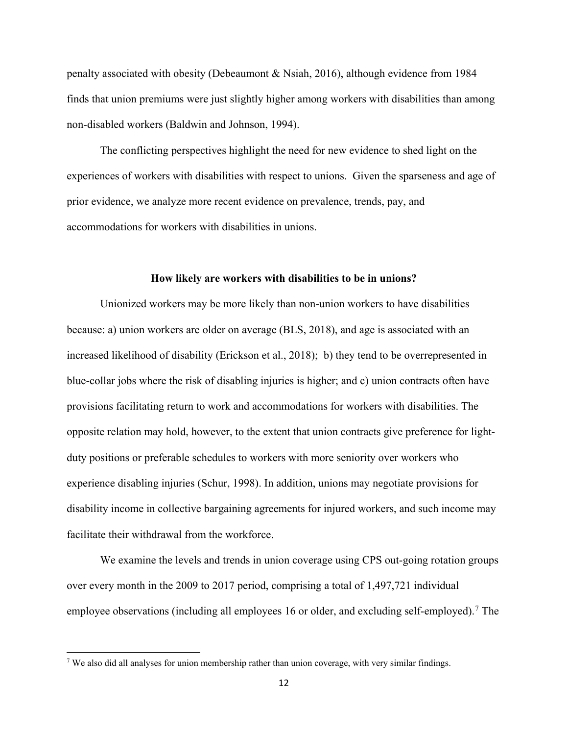penalty associated with obesity (Debeaumont & Nsiah, 2016), although evidence from 1984 finds that union premiums were just slightly higher among workers with disabilities than among non-disabled workers (Baldwin and Johnson, 1994).

The conflicting perspectives highlight the need for new evidence to shed light on the experiences of workers with disabilities with respect to unions. Given the sparseness and age of prior evidence, we analyze more recent evidence on prevalence, trends, pay, and accommodations for workers with disabilities in unions.

#### **How likely are workers with disabilities to be in unions?**

Unionized workers may be more likely than non-union workers to have disabilities because: a) union workers are older on average (BLS, 2018), and age is associated with an increased likelihood of disability (Erickson et al., 2018); b) they tend to be overrepresented in blue-collar jobs where the risk of disabling injuries is higher; and c) union contracts often have provisions facilitating return to work and accommodations for workers with disabilities. The opposite relation may hold, however, to the extent that union contracts give preference for lightduty positions or preferable schedules to workers with more seniority over workers who experience disabling injuries (Schur, 1998). In addition, unions may negotiate provisions for disability income in collective bargaining agreements for injured workers, and such income may facilitate their withdrawal from the workforce.

We examine the levels and trends in union coverage using CPS out-going rotation groups over every month in the 2009 to 2017 period, comprising a total of 1,497,721 individual employee observations (including all employees 16 or older, and excluding self-employed).<sup>[7](#page-13-0)</sup> The

l

<span id="page-13-0"></span><sup>7</sup> We also did all analyses for union membership rather than union coverage, with very similar findings.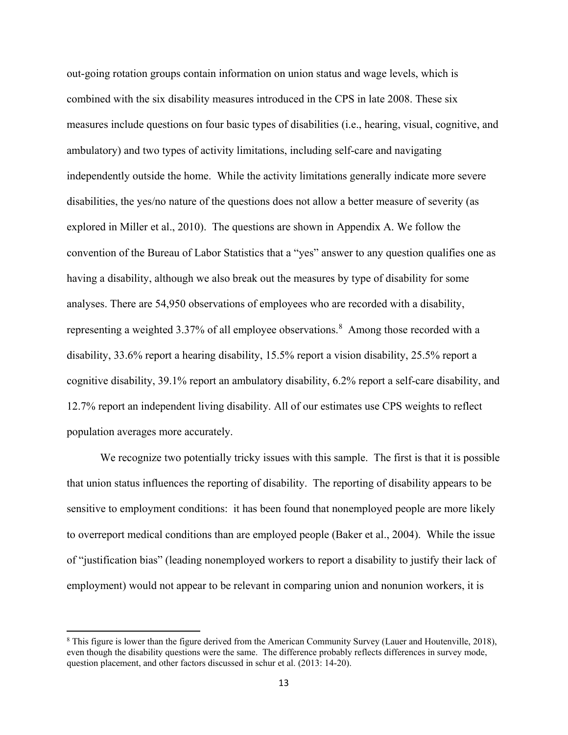out-going rotation groups contain information on union status and wage levels, which is combined with the six disability measures introduced in the CPS in late 2008. These six measures include questions on four basic types of disabilities (i.e., hearing, visual, cognitive, and ambulatory) and two types of activity limitations, including self-care and navigating independently outside the home. While the activity limitations generally indicate more severe disabilities, the yes/no nature of the questions does not allow a better measure of severity (as explored in Miller et al., 2010). The questions are shown in Appendix A. We follow the convention of the Bureau of Labor Statistics that a "yes" answer to any question qualifies one as having a disability, although we also break out the measures by type of disability for some analyses. There are 54,950 observations of employees who are recorded with a disability, representing a weighted 3.37% of all employee observations.<sup>[8](#page-14-0)</sup> Among those recorded with a disability, 33.6% report a hearing disability, 15.5% report a vision disability, 25.5% report a cognitive disability, 39.1% report an ambulatory disability, 6.2% report a self-care disability, and 12.7% report an independent living disability. All of our estimates use CPS weights to reflect population averages more accurately.

We recognize two potentially tricky issues with this sample. The first is that it is possible that union status influences the reporting of disability. The reporting of disability appears to be sensitive to employment conditions: it has been found that nonemployed people are more likely to overreport medical conditions than are employed people (Baker et al., 2004). While the issue of "justification bias" (leading nonemployed workers to report a disability to justify their lack of employment) would not appear to be relevant in comparing union and nonunion workers, it is

 $\overline{a}$ 

<span id="page-14-0"></span><sup>8</sup> This figure is lower than the figure derived from the American Community Survey (Lauer and Houtenville, 2018), even though the disability questions were the same. The difference probably reflects differences in survey mode, question placement, and other factors discussed in schur et al. (2013: 14-20).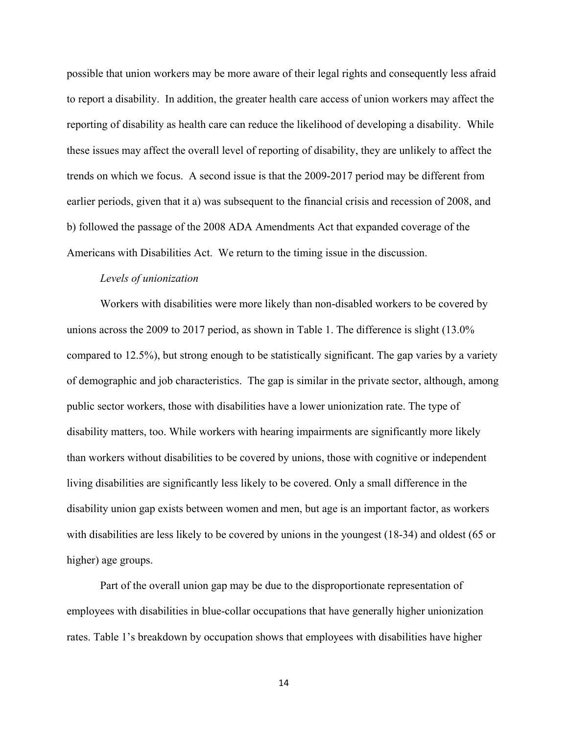possible that union workers may be more aware of their legal rights and consequently less afraid to report a disability. In addition, the greater health care access of union workers may affect the reporting of disability as health care can reduce the likelihood of developing a disability. While these issues may affect the overall level of reporting of disability, they are unlikely to affect the trends on which we focus. A second issue is that the 2009-2017 period may be different from earlier periods, given that it a) was subsequent to the financial crisis and recession of 2008, and b) followed the passage of the 2008 ADA Amendments Act that expanded coverage of the Americans with Disabilities Act. We return to the timing issue in the discussion.

#### *Levels of unionization*

Workers with disabilities were more likely than non-disabled workers to be covered by unions across the 2009 to 2017 period, as shown in Table 1. The difference is slight (13.0% compared to 12.5%), but strong enough to be statistically significant. The gap varies by a variety of demographic and job characteristics. The gap is similar in the private sector, although, among public sector workers, those with disabilities have a lower unionization rate. The type of disability matters, too. While workers with hearing impairments are significantly more likely than workers without disabilities to be covered by unions, those with cognitive or independent living disabilities are significantly less likely to be covered. Only a small difference in the disability union gap exists between women and men, but age is an important factor, as workers with disabilities are less likely to be covered by unions in the youngest (18-34) and oldest (65 or higher) age groups.

Part of the overall union gap may be due to the disproportionate representation of employees with disabilities in blue-collar occupations that have generally higher unionization rates. Table 1's breakdown by occupation shows that employees with disabilities have higher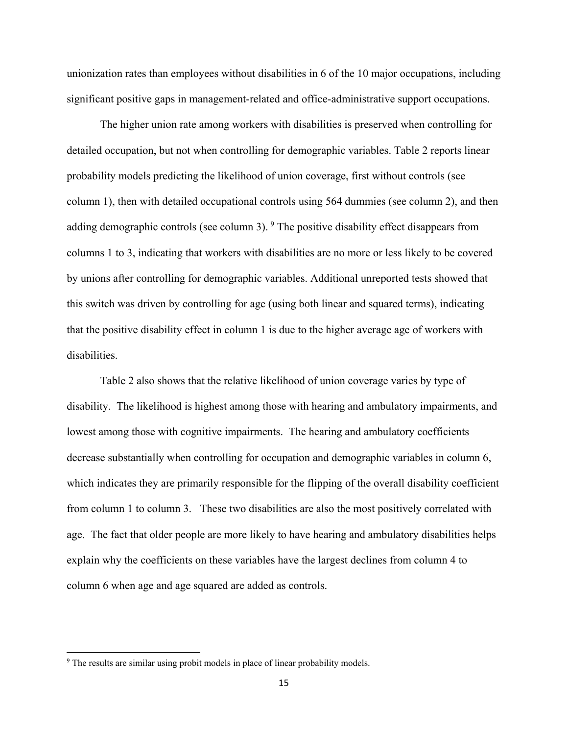unionization rates than employees without disabilities in 6 of the 10 major occupations, including significant positive gaps in management-related and office-administrative support occupations.

The higher union rate among workers with disabilities is preserved when controlling for detailed occupation, but not when controlling for demographic variables. Table 2 reports linear probability models predicting the likelihood of union coverage, first without controls (see column 1), then with detailed occupational controls using 564 dummies (see column 2), and then adding demographic controls (see column 3).  $9$  The positive disability effect disappears from columns 1 to 3, indicating that workers with disabilities are no more or less likely to be covered by unions after controlling for demographic variables. Additional unreported tests showed that this switch was driven by controlling for age (using both linear and squared terms), indicating that the positive disability effect in column 1 is due to the higher average age of workers with disabilities.

Table 2 also shows that the relative likelihood of union coverage varies by type of disability. The likelihood is highest among those with hearing and ambulatory impairments, and lowest among those with cognitive impairments. The hearing and ambulatory coefficients decrease substantially when controlling for occupation and demographic variables in column 6, which indicates they are primarily responsible for the flipping of the overall disability coefficient from column 1 to column 3. These two disabilities are also the most positively correlated with age. The fact that older people are more likely to have hearing and ambulatory disabilities helps explain why the coefficients on these variables have the largest declines from column 4 to column 6 when age and age squared are added as controls.

l

<span id="page-16-0"></span><sup>&</sup>lt;sup>9</sup> The results are similar using probit models in place of linear probability models.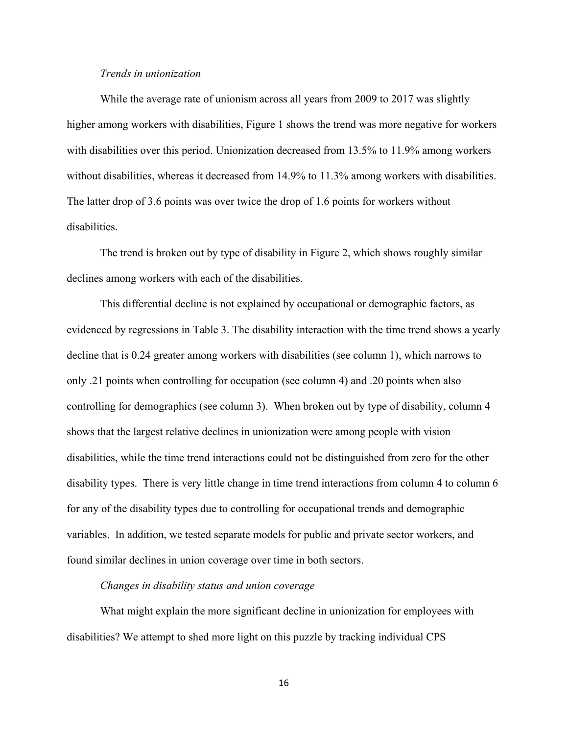#### *Trends in unionization*

While the average rate of unionism across all years from 2009 to 2017 was slightly higher among workers with disabilities, Figure 1 shows the trend was more negative for workers with disabilities over this period. Unionization decreased from 13.5% to 11.9% among workers without disabilities, whereas it decreased from 14.9% to 11.3% among workers with disabilities. The latter drop of 3.6 points was over twice the drop of 1.6 points for workers without disabilities.

The trend is broken out by type of disability in Figure 2, which shows roughly similar declines among workers with each of the disabilities.

This differential decline is not explained by occupational or demographic factors, as evidenced by regressions in Table 3. The disability interaction with the time trend shows a yearly decline that is 0.24 greater among workers with disabilities (see column 1), which narrows to only .21 points when controlling for occupation (see column 4) and .20 points when also controlling for demographics (see column 3). When broken out by type of disability, column 4 shows that the largest relative declines in unionization were among people with vision disabilities, while the time trend interactions could not be distinguished from zero for the other disability types. There is very little change in time trend interactions from column 4 to column 6 for any of the disability types due to controlling for occupational trends and demographic variables. In addition, we tested separate models for public and private sector workers, and found similar declines in union coverage over time in both sectors.

#### *Changes in disability status and union coverage*

What might explain the more significant decline in unionization for employees with disabilities? We attempt to shed more light on this puzzle by tracking individual CPS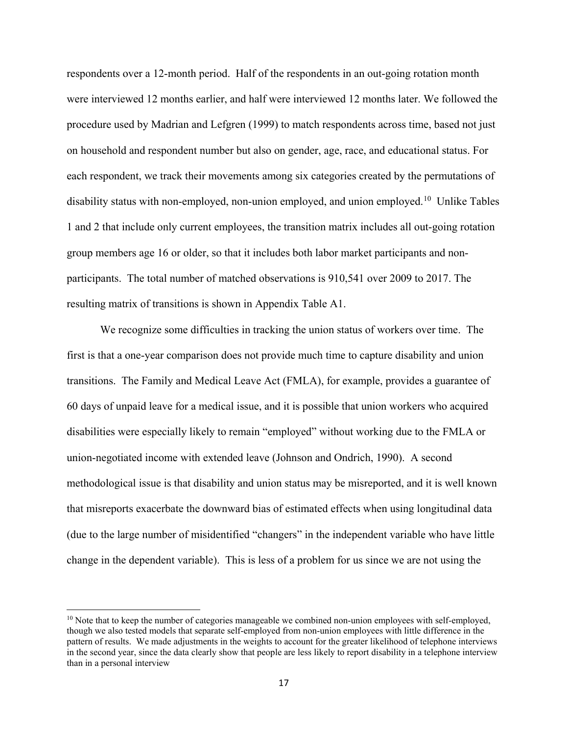respondents over a 12-month period. Half of the respondents in an out-going rotation month were interviewed 12 months earlier, and half were interviewed 12 months later. We followed the procedure used by Madrian and Lefgren (1999) to match respondents across time, based not just on household and respondent number but also on gender, age, race, and educational status. For each respondent, we track their movements among six categories created by the permutations of disability status with non-employed, non-union employed, and union employed.<sup>10</sup> Unlike Tables 1 and 2 that include only current employees, the transition matrix includes all out-going rotation group members age 16 or older, so that it includes both labor market participants and nonparticipants. The total number of matched observations is 910,541 over 2009 to 2017. The resulting matrix of transitions is shown in Appendix Table A1.

We recognize some difficulties in tracking the union status of workers over time. The first is that a one-year comparison does not provide much time to capture disability and union transitions. The Family and Medical Leave Act (FMLA), for example, provides a guarantee of 60 days of unpaid leave for a medical issue, and it is possible that union workers who acquired disabilities were especially likely to remain "employed" without working due to the FMLA or union-negotiated income with extended leave (Johnson and Ondrich, 1990). A second methodological issue is that disability and union status may be misreported, and it is well known that misreports exacerbate the downward bias of estimated effects when using longitudinal data (due to the large number of misidentified "changers" in the independent variable who have little change in the dependent variable). This is less of a problem for us since we are not using the

 $\overline{\phantom{a}}$ 

<span id="page-18-0"></span><sup>&</sup>lt;sup>10</sup> Note that to keep the number of categories manageable we combined non-union employees with self-employed, though we also tested models that separate self-employed from non-union employees with little difference in the pattern of results. We made adjustments in the weights to account for the greater likelihood of telephone interviews in the second year, since the data clearly show that people are less likely to report disability in a telephone interview than in a personal interview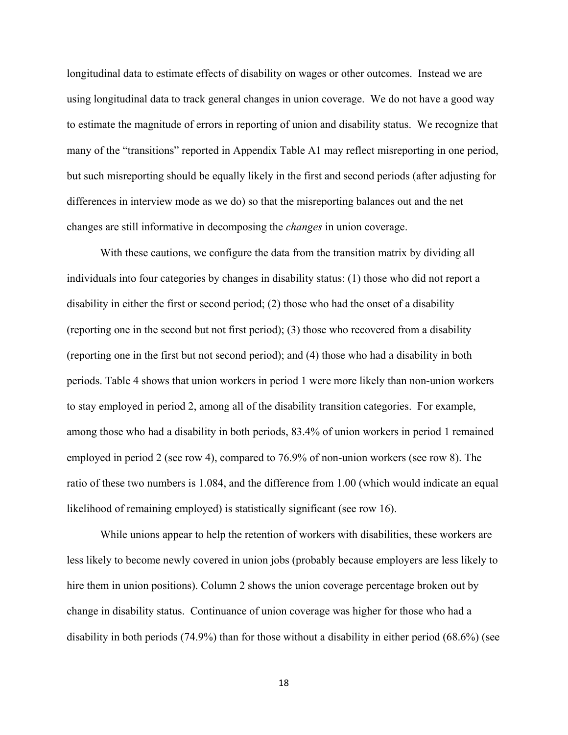longitudinal data to estimate effects of disability on wages or other outcomes. Instead we are using longitudinal data to track general changes in union coverage. We do not have a good way to estimate the magnitude of errors in reporting of union and disability status. We recognize that many of the "transitions" reported in Appendix Table A1 may reflect misreporting in one period, but such misreporting should be equally likely in the first and second periods (after adjusting for differences in interview mode as we do) so that the misreporting balances out and the net changes are still informative in decomposing the *changes* in union coverage.

With these cautions, we configure the data from the transition matrix by dividing all individuals into four categories by changes in disability status: (1) those who did not report a disability in either the first or second period; (2) those who had the onset of a disability (reporting one in the second but not first period); (3) those who recovered from a disability (reporting one in the first but not second period); and (4) those who had a disability in both periods. Table 4 shows that union workers in period 1 were more likely than non-union workers to stay employed in period 2, among all of the disability transition categories. For example, among those who had a disability in both periods, 83.4% of union workers in period 1 remained employed in period 2 (see row 4), compared to 76.9% of non-union workers (see row 8). The ratio of these two numbers is 1.084, and the difference from 1.00 (which would indicate an equal likelihood of remaining employed) is statistically significant (see row 16).

While unions appear to help the retention of workers with disabilities, these workers are less likely to become newly covered in union jobs (probably because employers are less likely to hire them in union positions). Column 2 shows the union coverage percentage broken out by change in disability status. Continuance of union coverage was higher for those who had a disability in both periods (74.9%) than for those without a disability in either period (68.6%) (see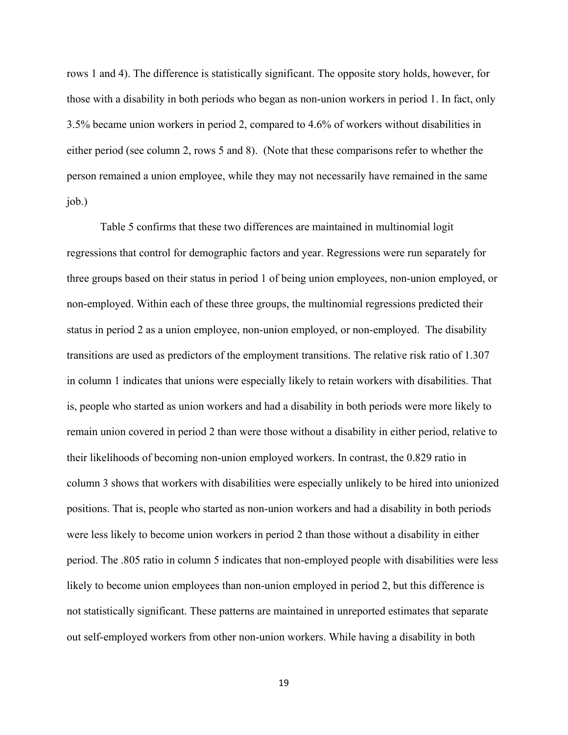rows 1 and 4). The difference is statistically significant. The opposite story holds, however, for those with a disability in both periods who began as non-union workers in period 1. In fact, only 3.5% became union workers in period 2, compared to 4.6% of workers without disabilities in either period (see column 2, rows 5 and 8). (Note that these comparisons refer to whether the person remained a union employee, while they may not necessarily have remained in the same job.)

Table 5 confirms that these two differences are maintained in multinomial logit regressions that control for demographic factors and year. Regressions were run separately for three groups based on their status in period 1 of being union employees, non-union employed, or non-employed. Within each of these three groups, the multinomial regressions predicted their status in period 2 as a union employee, non-union employed, or non-employed. The disability transitions are used as predictors of the employment transitions. The relative risk ratio of 1.307 in column 1 indicates that unions were especially likely to retain workers with disabilities. That is, people who started as union workers and had a disability in both periods were more likely to remain union covered in period 2 than were those without a disability in either period, relative to their likelihoods of becoming non-union employed workers. In contrast, the 0.829 ratio in column 3 shows that workers with disabilities were especially unlikely to be hired into unionized positions. That is, people who started as non-union workers and had a disability in both periods were less likely to become union workers in period 2 than those without a disability in either period. The .805 ratio in column 5 indicates that non-employed people with disabilities were less likely to become union employees than non-union employed in period 2, but this difference is not statistically significant. These patterns are maintained in unreported estimates that separate out self-employed workers from other non-union workers. While having a disability in both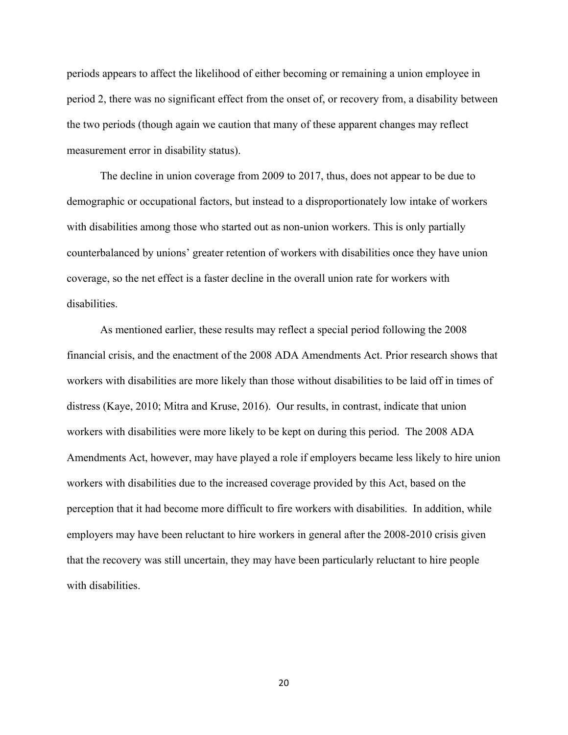periods appears to affect the likelihood of either becoming or remaining a union employee in period 2, there was no significant effect from the onset of, or recovery from, a disability between the two periods (though again we caution that many of these apparent changes may reflect measurement error in disability status).

The decline in union coverage from 2009 to 2017, thus, does not appear to be due to demographic or occupational factors, but instead to a disproportionately low intake of workers with disabilities among those who started out as non-union workers. This is only partially counterbalanced by unions' greater retention of workers with disabilities once they have union coverage, so the net effect is a faster decline in the overall union rate for workers with disabilities.

As mentioned earlier, these results may reflect a special period following the 2008 financial crisis, and the enactment of the 2008 ADA Amendments Act. Prior research shows that workers with disabilities are more likely than those without disabilities to be laid off in times of distress (Kaye, 2010; Mitra and Kruse, 2016). Our results, in contrast, indicate that union workers with disabilities were more likely to be kept on during this period. The 2008 ADA Amendments Act, however, may have played a role if employers became less likely to hire union workers with disabilities due to the increased coverage provided by this Act, based on the perception that it had become more difficult to fire workers with disabilities. In addition, while employers may have been reluctant to hire workers in general after the 2008-2010 crisis given that the recovery was still uncertain, they may have been particularly reluctant to hire people with disabilities.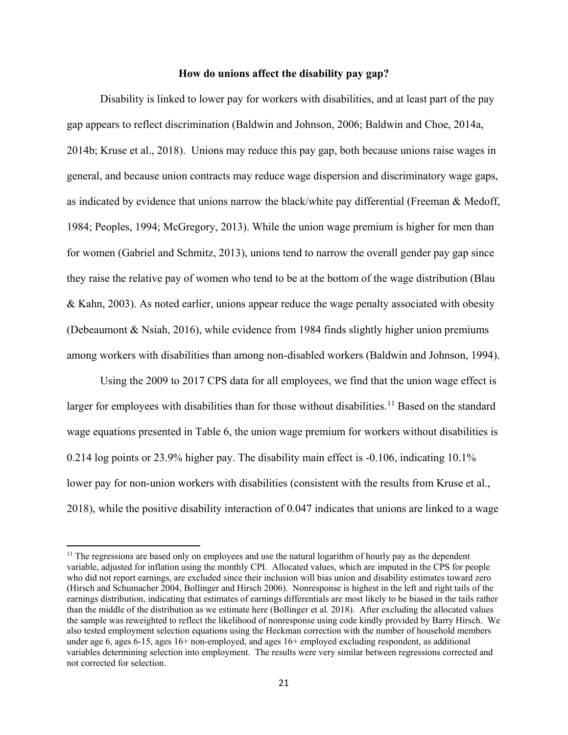#### **How do unions affect the disability pay gap?**

Disability is linked to lower pay for workers with disabilities, and at least part of the pay gap appears to reflect discrimination (Baldwin and Johnson, 2006; Baldwin and Choe, 2014a, 2014b; Kruse et al., 2018). Unions may reduce this pay gap, both because unions raise wages in general, and because union contracts may reduce wage dispersion and discriminatory wage gaps, as indicated by evidence that unions narrow the black/white pay differential (Freeman & Medoff, 1984; Peoples, 1994; McGregory, 2013). While the union wage premium is higher for men than for women (Gabriel and Schmitz, 2013), unions tend to narrow the overall gender pay gap since they raise the relative pay of women who tend to be at the bottom of the wage distribution (Blau & Kahn, 2003). As noted earlier, unions appear reduce the wage penalty associated with obesity (Debeaumont & Nsiah, 2016), while evidence from 1984 finds slightly higher union premiums among workers with disabilities than among non-disabled workers (Baldwin and Johnson, 1994).

Using the 2009 to 2017 CPS data for all employees, we find that the union wage effect is larger for employees with disabilities than for those without disabilities.<sup>[11](#page-22-0)</sup> Based on the standard wage equations presented in Table 6, the union wage premium for workers without disabilities is 0.214 log points or 23.9% higher pay. The disability main effect is -0.106, indicating 10.1% lower pay for non-union workers with disabilities (consistent with the results from Kruse et al., 2018), while the positive disability interaction of 0.047 indicates that unions are linked to a wage

 $\overline{\phantom{a}}$ 

<span id="page-22-0"></span> $<sup>11</sup>$  The regressions are based only on employees and use the natural logarithm of hourly pay as the dependent</sup> variable, adjusted for inflation using the monthly CPI. Allocated values, which are imputed in the CPS for people who did not report earnings, are excluded since their inclusion will bias union and disability estimates toward zero (Hirsch and Schumacher 2004, Bollinger and Hirsch 2006). Nonresponse is highest in the left and right tails of the earnings distribution, indicating that estimates of earnings differentials are most likely to be biased in the tails rather than the middle of the distribution as we estimate here (Bollinger et al. 2018). After excluding the allocated values the sample was reweighted to reflect the likelihood of nonresponse using code kindly provided by Barry Hirsch. We also tested employment selection equations using the Heckman correction with the number of household members under age 6, ages 6-15, ages 16+ non-employed, and ages 16+ employed excluding respondent, as additional variables determining selection into employment. The results were very similar between regressions corrected and not corrected for selection.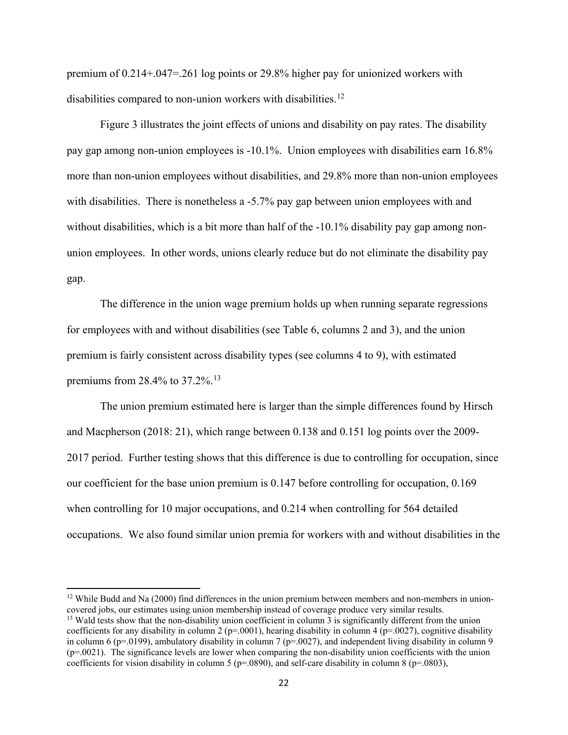premium of 0.214+.047=.261 log points or 29.8% higher pay for unionized workers with disabilities compared to non-union workers with disabilities.<sup>[12](#page-23-0)</sup>

Figure 3 illustrates the joint effects of unions and disability on pay rates. The disability pay gap among non-union employees is -10.1%. Union employees with disabilities earn 16.8% more than non-union employees without disabilities, and 29.8% more than non-union employees with disabilities. There is nonetheless a -5.7% pay gap between union employees with and without disabilities, which is a bit more than half of the -10.1% disability pay gap among nonunion employees. In other words, unions clearly reduce but do not eliminate the disability pay gap.

The difference in the union wage premium holds up when running separate regressions for employees with and without disabilities (see Table 6, columns 2 and 3), and the union premium is fairly consistent across disability types (see columns 4 to 9), with estimated premiums from 28.4% to 37.2%.[13](#page-23-1)

The union premium estimated here is larger than the simple differences found by Hirsch and Macpherson (2018: 21), which range between 0.138 and 0.151 log points over the 2009- 2017 period. Further testing shows that this difference is due to controlling for occupation, since our coefficient for the base union premium is 0.147 before controlling for occupation, 0.169 when controlling for 10 major occupations, and 0.214 when controlling for 564 detailed occupations. We also found similar union premia for workers with and without disabilities in the

l

<span id="page-23-0"></span> $12$  While Budd and Na (2000) find differences in the union premium between members and non-members in unioncovered jobs, our estimates using union membership instead of coverage produce very similar results.

<span id="page-23-1"></span><sup>&</sup>lt;sup>13</sup> Wald tests show that the non-disability union coefficient in column 3 is significantly different from the union coefficients for any disability in column 2 ( $p=0001$ ), hearing disability in column 4 ( $p=0027$ ), cognitive disability in column 6 (p=.0199), ambulatory disability in column 7 (p=.0027), and independent living disability in column 9 (p=.0021). The significance levels are lower when comparing the non-disability union coefficients with the union coefficients for vision disability in column 5 ( $p=0.0890$ ), and self-care disability in column 8 ( $p=0.0803$ ),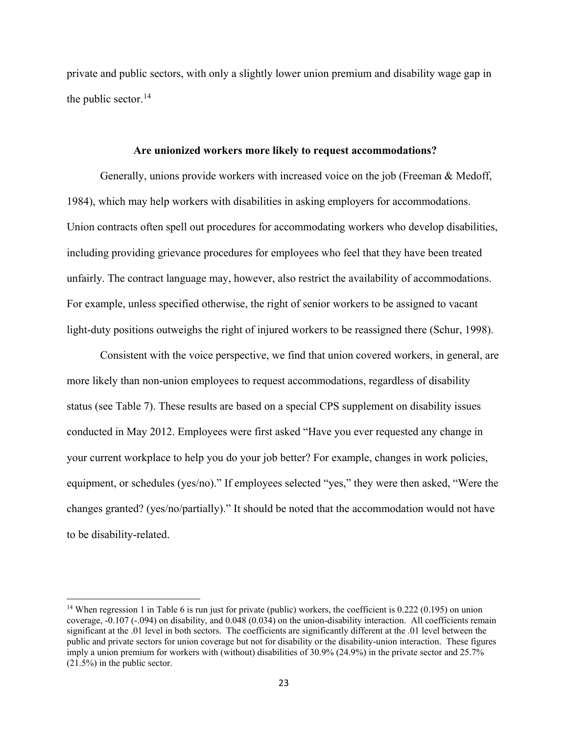private and public sectors, with only a slightly lower union premium and disability wage gap in the public sector.<sup>[14](#page-24-0)</sup>

#### **Are unionized workers more likely to request accommodations?**

Generally, unions provide workers with increased voice on the job (Freeman & Medoff, 1984), which may help workers with disabilities in asking employers for accommodations. Union contracts often spell out procedures for accommodating workers who develop disabilities, including providing grievance procedures for employees who feel that they have been treated unfairly. The contract language may, however, also restrict the availability of accommodations. For example, unless specified otherwise, the right of senior workers to be assigned to vacant light-duty positions outweighs the right of injured workers to be reassigned there (Schur, 1998).

Consistent with the voice perspective, we find that union covered workers, in general, are more likely than non-union employees to request accommodations, regardless of disability status (see Table 7). These results are based on a special CPS supplement on disability issues conducted in May 2012. Employees were first asked "Have you ever requested any change in your current workplace to help you do your job better? For example, changes in work policies, equipment, or schedules (yes/no)." If employees selected "yes," they were then asked, "Were the changes granted? (yes/no/partially)." It should be noted that the accommodation would not have to be disability-related.

 $\overline{a}$ 

<span id="page-24-0"></span><sup>&</sup>lt;sup>14</sup> When regression 1 in Table 6 is run just for private (public) workers, the coefficient is 0.222 (0.195) on union coverage, -0.107 (-.094) on disability, and 0.048 (0.034) on the union-disability interaction. All coefficients remain significant at the .01 level in both sectors. The coefficients are significantly different at the .01 level between the public and private sectors for union coverage but not for disability or the disability-union interaction. These figures imply a union premium for workers with (without) disabilities of 30.9% (24.9%) in the private sector and 25.7% (21.5%) in the public sector.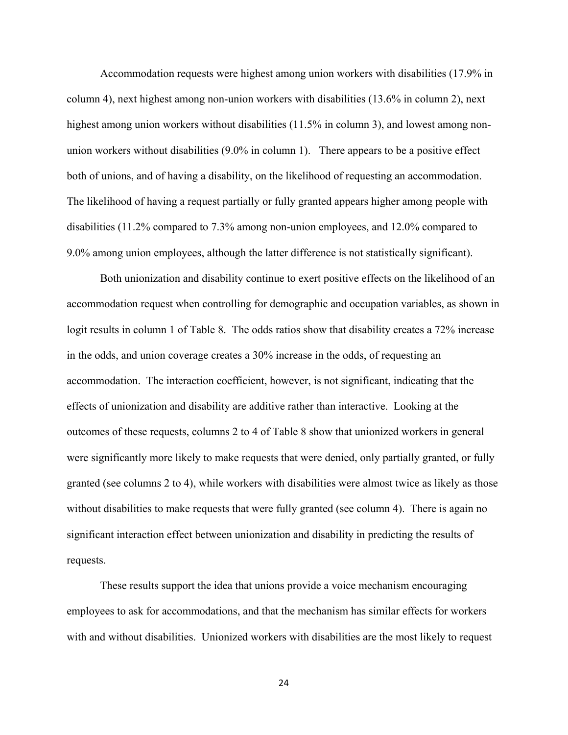Accommodation requests were highest among union workers with disabilities (17.9% in column 4), next highest among non-union workers with disabilities (13.6% in column 2), next highest among union workers without disabilities (11.5% in column 3), and lowest among nonunion workers without disabilities (9.0% in column 1). There appears to be a positive effect both of unions, and of having a disability, on the likelihood of requesting an accommodation. The likelihood of having a request partially or fully granted appears higher among people with disabilities (11.2% compared to 7.3% among non-union employees, and 12.0% compared to 9.0% among union employees, although the latter difference is not statistically significant).

Both unionization and disability continue to exert positive effects on the likelihood of an accommodation request when controlling for demographic and occupation variables, as shown in logit results in column 1 of Table 8. The odds ratios show that disability creates a 72% increase in the odds, and union coverage creates a 30% increase in the odds, of requesting an accommodation. The interaction coefficient, however, is not significant, indicating that the effects of unionization and disability are additive rather than interactive. Looking at the outcomes of these requests, columns 2 to 4 of Table 8 show that unionized workers in general were significantly more likely to make requests that were denied, only partially granted, or fully granted (see columns 2 to 4), while workers with disabilities were almost twice as likely as those without disabilities to make requests that were fully granted (see column 4). There is again no significant interaction effect between unionization and disability in predicting the results of requests.

These results support the idea that unions provide a voice mechanism encouraging employees to ask for accommodations, and that the mechanism has similar effects for workers with and without disabilities. Unionized workers with disabilities are the most likely to request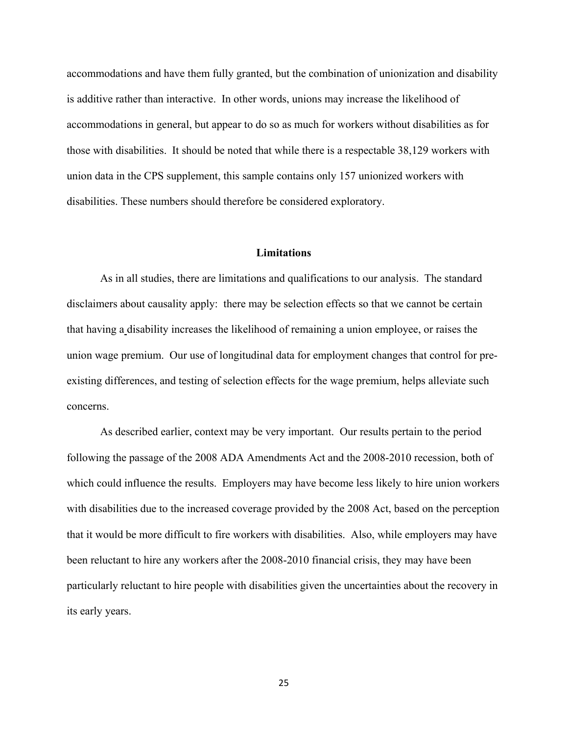accommodations and have them fully granted, but the combination of unionization and disability is additive rather than interactive. In other words, unions may increase the likelihood of accommodations in general, but appear to do so as much for workers without disabilities as for those with disabilities. It should be noted that while there is a respectable 38,129 workers with union data in the CPS supplement, this sample contains only 157 unionized workers with disabilities. These numbers should therefore be considered exploratory.

#### **Limitations**

As in all studies, there are limitations and qualifications to our analysis. The standard disclaimers about causality apply: there may be selection effects so that we cannot be certain that having a disability increases the likelihood of remaining a union employee, or raises the union wage premium. Our use of longitudinal data for employment changes that control for preexisting differences, and testing of selection effects for the wage premium, helps alleviate such concerns.

As described earlier, context may be very important. Our results pertain to the period following the passage of the 2008 ADA Amendments Act and the 2008-2010 recession, both of which could influence the results. Employers may have become less likely to hire union workers with disabilities due to the increased coverage provided by the 2008 Act, based on the perception that it would be more difficult to fire workers with disabilities. Also, while employers may have been reluctant to hire any workers after the 2008-2010 financial crisis, they may have been particularly reluctant to hire people with disabilities given the uncertainties about the recovery in its early years.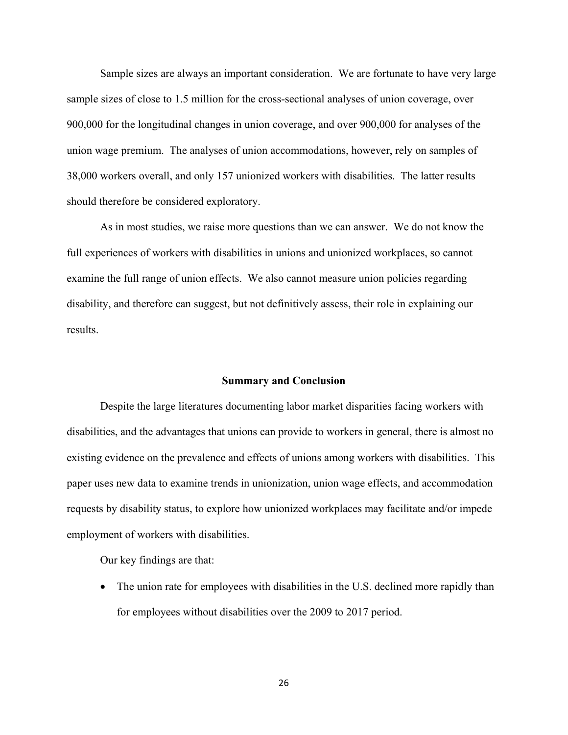Sample sizes are always an important consideration. We are fortunate to have very large sample sizes of close to 1.5 million for the cross-sectional analyses of union coverage, over 900,000 for the longitudinal changes in union coverage, and over 900,000 for analyses of the union wage premium. The analyses of union accommodations, however, rely on samples of 38,000 workers overall, and only 157 unionized workers with disabilities. The latter results should therefore be considered exploratory.

As in most studies, we raise more questions than we can answer. We do not know the full experiences of workers with disabilities in unions and unionized workplaces, so cannot examine the full range of union effects. We also cannot measure union policies regarding disability, and therefore can suggest, but not definitively assess, their role in explaining our results.

#### **Summary and Conclusion**

Despite the large literatures documenting labor market disparities facing workers with disabilities, and the advantages that unions can provide to workers in general, there is almost no existing evidence on the prevalence and effects of unions among workers with disabilities. This paper uses new data to examine trends in unionization, union wage effects, and accommodation requests by disability status, to explore how unionized workplaces may facilitate and/or impede employment of workers with disabilities.

Our key findings are that:

• The union rate for employees with disabilities in the U.S. declined more rapidly than for employees without disabilities over the 2009 to 2017 period.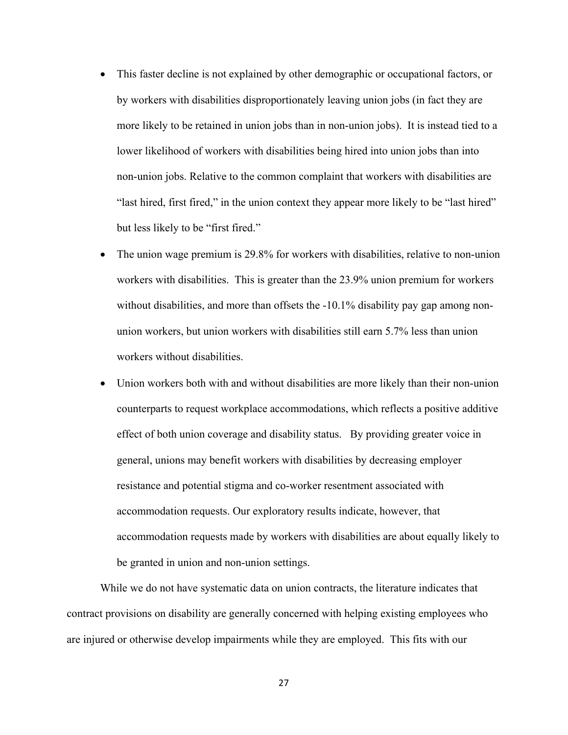- This faster decline is not explained by other demographic or occupational factors, or by workers with disabilities disproportionately leaving union jobs (in fact they are more likely to be retained in union jobs than in non-union jobs). It is instead tied to a lower likelihood of workers with disabilities being hired into union jobs than into non-union jobs. Relative to the common complaint that workers with disabilities are "last hired, first fired," in the union context they appear more likely to be "last hired" but less likely to be "first fired."
- The union wage premium is 29.8% for workers with disabilities, relative to non-union workers with disabilities. This is greater than the 23.9% union premium for workers without disabilities, and more than offsets the -10.1% disability pay gap among nonunion workers, but union workers with disabilities still earn 5.7% less than union workers without disabilities.
- Union workers both with and without disabilities are more likely than their non-union counterparts to request workplace accommodations, which reflects a positive additive effect of both union coverage and disability status. By providing greater voice in general, unions may benefit workers with disabilities by decreasing employer resistance and potential stigma and co-worker resentment associated with accommodation requests. Our exploratory results indicate, however, that accommodation requests made by workers with disabilities are about equally likely to be granted in union and non-union settings.

While we do not have systematic data on union contracts, the literature indicates that contract provisions on disability are generally concerned with helping existing employees who are injured or otherwise develop impairments while they are employed. This fits with our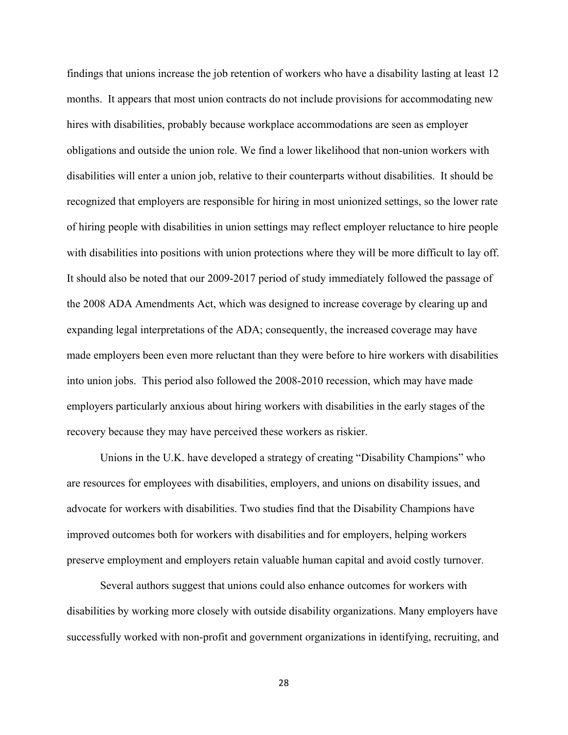findings that unions increase the job retention of workers who have a disability lasting at least 12 months. It appears that most union contracts do not include provisions for accommodating new hires with disabilities, probably because workplace accommodations are seen as employer obligations and outside the union role. We find a lower likelihood that non-union workers with disabilities will enter a union job, relative to their counterparts without disabilities. It should be recognized that employers are responsible for hiring in most unionized settings, so the lower rate of hiring people with disabilities in union settings may reflect employer reluctance to hire people with disabilities into positions with union protections where they will be more difficult to lay off. It should also be noted that our 2009-2017 period of study immediately followed the passage of the 2008 ADA Amendments Act, which was designed to increase coverage by clearing up and expanding legal interpretations of the ADA; consequently, the increased coverage may have made employers been even more reluctant than they were before to hire workers with disabilities into union jobs. This period also followed the 2008-2010 recession, which may have made employers particularly anxious about hiring workers with disabilities in the early stages of the recovery because they may have perceived these workers as riskier.

Unions in the U.K. have developed a strategy of creating "Disability Champions" who are resources for employees with disabilities, employers, and unions on disability issues, and advocate for workers with disabilities. Two studies find that the Disability Champions have improved outcomes both for workers with disabilities and for employers, helping workers preserve employment and employers retain valuable human capital and avoid costly turnover.

Several authors suggest that unions could also enhance outcomes for workers with disabilities by working more closely with outside disability organizations. Many employers have successfully worked with non-profit and government organizations in identifying, recruiting, and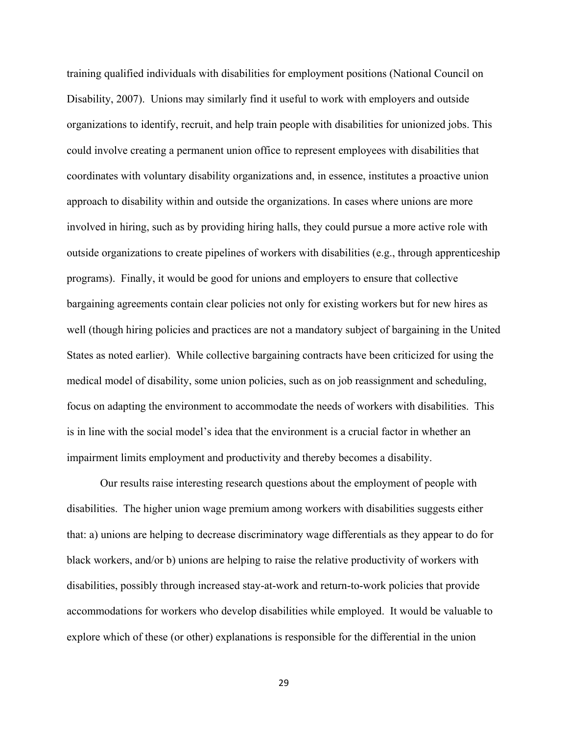training qualified individuals with disabilities for employment positions (National Council on Disability, 2007). Unions may similarly find it useful to work with employers and outside organizations to identify, recruit, and help train people with disabilities for unionized jobs. This could involve creating a permanent union office to represent employees with disabilities that coordinates with voluntary disability organizations and, in essence, institutes a proactive union approach to disability within and outside the organizations. In cases where unions are more involved in hiring, such as by providing hiring halls, they could pursue a more active role with outside organizations to create pipelines of workers with disabilities (e.g., through apprenticeship programs). Finally, it would be good for unions and employers to ensure that collective bargaining agreements contain clear policies not only for existing workers but for new hires as well (though hiring policies and practices are not a mandatory subject of bargaining in the United States as noted earlier). While collective bargaining contracts have been criticized for using the medical model of disability, some union policies, such as on job reassignment and scheduling, focus on adapting the environment to accommodate the needs of workers with disabilities. This is in line with the social model's idea that the environment is a crucial factor in whether an impairment limits employment and productivity and thereby becomes a disability.

Our results raise interesting research questions about the employment of people with disabilities. The higher union wage premium among workers with disabilities suggests either that: a) unions are helping to decrease discriminatory wage differentials as they appear to do for black workers, and/or b) unions are helping to raise the relative productivity of workers with disabilities, possibly through increased stay-at-work and return-to-work policies that provide accommodations for workers who develop disabilities while employed. It would be valuable to explore which of these (or other) explanations is responsible for the differential in the union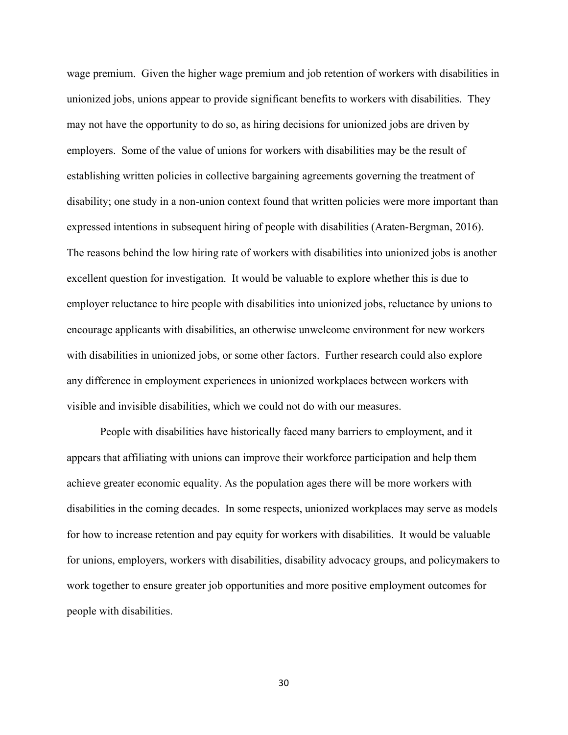wage premium. Given the higher wage premium and job retention of workers with disabilities in unionized jobs, unions appear to provide significant benefits to workers with disabilities. They may not have the opportunity to do so, as hiring decisions for unionized jobs are driven by employers. Some of the value of unions for workers with disabilities may be the result of establishing written policies in collective bargaining agreements governing the treatment of disability; one study in a non-union context found that written policies were more important than expressed intentions in subsequent hiring of people with disabilities (Araten-Bergman, 2016). The reasons behind the low hiring rate of workers with disabilities into unionized jobs is another excellent question for investigation. It would be valuable to explore whether this is due to employer reluctance to hire people with disabilities into unionized jobs, reluctance by unions to encourage applicants with disabilities, an otherwise unwelcome environment for new workers with disabilities in unionized jobs, or some other factors. Further research could also explore any difference in employment experiences in unionized workplaces between workers with visible and invisible disabilities, which we could not do with our measures.

People with disabilities have historically faced many barriers to employment, and it appears that affiliating with unions can improve their workforce participation and help them achieve greater economic equality. As the population ages there will be more workers with disabilities in the coming decades. In some respects, unionized workplaces may serve as models for how to increase retention and pay equity for workers with disabilities. It would be valuable for unions, employers, workers with disabilities, disability advocacy groups, and policymakers to work together to ensure greater job opportunities and more positive employment outcomes for people with disabilities.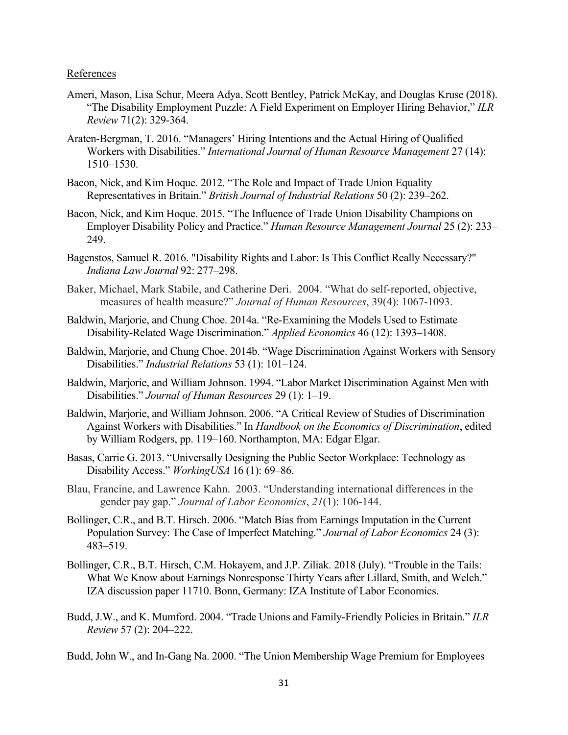References

- Ameri, Mason, Lisa Schur, Meera Adya, Scott Bentley, Patrick McKay, and Douglas Kruse (2018). "The Disability Employment Puzzle: A Field Experiment on Employer Hiring Behavior," *ILR Review* 71(2): 329-364.
- Araten-Bergman, T. 2016. "Managers' Hiring Intentions and the Actual Hiring of Qualified Workers with Disabilities." *International Journal of Human Resource Management* 27 (14): 1510–1530.
- Bacon, Nick, and Kim Hoque. 2012. "The Role and Impact of Trade Union Equality Representatives in Britain." *British Journal of Industrial Relations* 50 (2): 239–262.
- Bacon, Nick, and Kim Hoque. 2015. "The Influence of Trade Union Disability Champions on Employer Disability Policy and Practice." *Human Resource Management Journal* 25 (2): 233– 249.
- Bagenstos, Samuel R. 2016. "Disability Rights and Labor: Is This Conflict Really Necessary?" *Indiana Law Journal* 92: 277–298.
- Baker, Michael, Mark Stabile, and Catherine Deri. 2004. "What do self-reported, objective, measures of health measure?" *Journal of Human Resources*, 39(4): 1067-1093.
- Baldwin, Marjorie, and Chung Choe. 2014a. "Re-Examining the Models Used to Estimate Disability-Related Wage Discrimination." *Applied Economics* 46 (12): 1393–1408.
- Baldwin, Marjorie, and Chung Choe. 2014b. "Wage Discrimination Against Workers with Sensory Disabilities." *Industrial Relations* 53 (1): 101–124.
- Baldwin, Marjorie, and William Johnson. 1994. "Labor Market Discrimination Against Men with Disabilities." *Journal of Human Resources* 29 (1): 1–19.
- Baldwin, Marjorie, and William Johnson. 2006. "A Critical Review of Studies of Discrimination Against Workers with Disabilities." In *Handbook on the Economics of Discrimination*, edited by William Rodgers, pp. 119–160. Northampton, MA: Edgar Elgar.
- Basas, Carrie G. 2013. "Universally Designing the Public Sector Workplace: Technology as Disability Access." *WorkingUSA* 16 (1): 69–86.
- Blau, Francine, and Lawrence Kahn. 2003. "Understanding international differences in the gender pay gap." *Journal of Labor Economics*, *21*(1): 106-144.
- Bollinger, C.R., and B.T. Hirsch. 2006. "Match Bias from Earnings Imputation in the Current Population Survey: The Case of Imperfect Matching." *Journal of Labor Economics* 24 (3): 483–519.
- Bollinger, C.R., B.T. Hirsch, C.M. Hokayem, and J.P. Ziliak. 2018 (July). "Trouble in the Tails: What We Know about Earnings Nonresponse Thirty Years after Lillard, Smith, and Welch." IZA discussion paper 11710. Bonn, Germany: IZA Institute of Labor Economics.
- Budd, J.W., and K. Mumford. 2004. "Trade Unions and Family-Friendly Policies in Britain." *ILR Review* 57 (2): 204–222.

Budd, John W., and In-Gang Na. 2000. "The Union Membership Wage Premium for Employees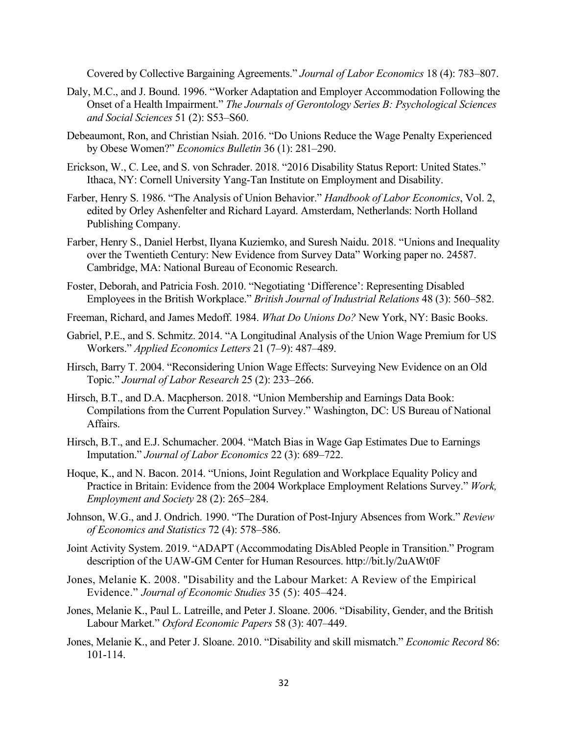Covered by Collective Bargaining Agreements." *Journal of Labor Economics* 18 (4): 783–807.

- Daly, M.C., and J. Bound. 1996. "Worker Adaptation and Employer Accommodation Following the Onset of a Health Impairment." *The Journals of Gerontology Series B: Psychological Sciences and Social Sciences* 51 (2): S53–S60.
- Debeaumont, Ron, and Christian Nsiah. 2016. ["Do Unions Reduce the Wage Penalty Experienced](http://web.b.ebscohost.com.proxy.libraries.rutgers.edu/ehost/viewarticle/render?data=dGJyMPPp44rp2%2fdV0%2bnjisfk5Ie46bZQsqa1SbWk63nn5Kx95uXxjL6rrUq3pbBIr66eSrirt1Kup55oy5zyit%2fk8Xnh6ueH7N%2fiVa%2bttEm2rbNRtKakhN%2fk5VXj5KR84LPje%2byc8nnls79mpNfsVa%2bsrlCypq8%2b5OXwhd%2fqu37z4uqM4%2b7y&vid=2&sid=4deee0b6-187b-4841-af25-090de787e19c@sessionmgr104)  [by Obese Women?"](http://web.b.ebscohost.com.proxy.libraries.rutgers.edu/ehost/viewarticle/render?data=dGJyMPPp44rp2%2fdV0%2bnjisfk5Ie46bZQsqa1SbWk63nn5Kx95uXxjL6rrUq3pbBIr66eSrirt1Kup55oy5zyit%2fk8Xnh6ueH7N%2fiVa%2bttEm2rbNRtKakhN%2fk5VXj5KR84LPje%2byc8nnls79mpNfsVa%2bsrlCypq8%2b5OXwhd%2fqu37z4uqM4%2b7y&vid=2&sid=4deee0b6-187b-4841-af25-090de787e19c@sessionmgr104) *Economics Bulletin* 36 (1): 281–290.
- Erickson, W., C. Lee, and S. von Schrader. 2018. "2016 Disability Status Report: United States." Ithaca, NY: Cornell University Yang-Tan Institute on Employment and Disability.
- Farber, Henry S. 1986. "The Analysis of Union Behavior." *Handbook of Labor Economics*, Vol. 2, edited by Orley Ashenfelter and Richard Layard. Amsterdam, Netherlands: North Holland Publishing Company.
- Farber, Henry S., Daniel Herbst, Ilyana Kuziemko, and Suresh Naidu. 2018. "Unions and Inequality over the Twentieth Century: New Evidence from Survey Data" Working paper no. 24587. Cambridge, MA: National Bureau of Economic Research.
- Foster, Deborah, and Patricia Fosh. 2010. "Negotiating 'Difference': Representing Disabled Employees in the British Workplace." *British Journal of Industrial Relations* 48 (3): 560–582.
- Freeman, Richard, and James Medoff. 1984. *What Do Unions Do?* New York, NY: Basic Books.
- Gabriel, P.E., and S. Schmitz. 2014. ["A Longitudinal Analysis of the Union Wage Premium for US](http://web.b.ebscohost.com.proxy.libraries.rutgers.edu/ehost/viewarticle/render?data=dGJyMPPp44rp2%2fdV0%2bnjisfk5Ie46bZQsqa1SbWk63nn5Kx95uXxjL6rrUq3pbBIr66eSrirt1Kup55oy5zyit%2fk8Xnh6ueH7N%2fiVa%2bttEm2rbNRtKakhN%2fk5VXj5KR84LPje%2byc8nnls79mpNfsVa%2bqsk22r7c%2b5OXwhd%2fqu37z4uqM4%2b7y&vid=19&sid=4deee0b6-187b-4841-af25-090de787e19c@sessionmgr104)  [Workers.](http://web.b.ebscohost.com.proxy.libraries.rutgers.edu/ehost/viewarticle/render?data=dGJyMPPp44rp2%2fdV0%2bnjisfk5Ie46bZQsqa1SbWk63nn5Kx95uXxjL6rrUq3pbBIr66eSrirt1Kup55oy5zyit%2fk8Xnh6ueH7N%2fiVa%2bttEm2rbNRtKakhN%2fk5VXj5KR84LPje%2byc8nnls79mpNfsVa%2bqsk22r7c%2b5OXwhd%2fqu37z4uqM4%2b7y&vid=19&sid=4deee0b6-187b-4841-af25-090de787e19c@sessionmgr104)" *Applied Economics Letters* 21 (7–9): 487–489.
- Hirsch, Barry T. 2004. ["Reconsidering Union Wage Effects: Surveying New Evidence on an Old](http://web.b.ebscohost.com.proxy.libraries.rutgers.edu/ehost/viewarticle/render?data=dGJyMPPp44rp2%2fdV0%2bnjisfk5Ie46bZQsqa1SbWk63nn5Kx95uXxjL6nrkevq61Krqe2OK%2bmuEizsK5MnsbLPvLo34bx1%2bGM5%2bXsgeKzr02xq7NNr6qwSqTi34bls%2bOGpNrgVePZ7D7y1%2bVVv8Skeeyzrk%2bxrLJRtpzkh%2fDj34y73POE6urjkPIA&vid=2&sid=3e93dd77-a854-4c50-9b34-48ef929c978e@pdc-v-sessmgr03)  [Topic.](http://web.b.ebscohost.com.proxy.libraries.rutgers.edu/ehost/viewarticle/render?data=dGJyMPPp44rp2%2fdV0%2bnjisfk5Ie46bZQsqa1SbWk63nn5Kx95uXxjL6nrkevq61Krqe2OK%2bmuEizsK5MnsbLPvLo34bx1%2bGM5%2bXsgeKzr02xq7NNr6qwSqTi34bls%2bOGpNrgVePZ7D7y1%2bVVv8Skeeyzrk%2bxrLJRtpzkh%2fDj34y73POE6urjkPIA&vid=2&sid=3e93dd77-a854-4c50-9b34-48ef929c978e@pdc-v-sessmgr03)" *Journal of Labor Research* 25 (2): 233–266.
- Hirsch, B.T., and D.A. Macpherson. 2018. "Union Membership and Earnings Data Book: Compilations from the Current Population Survey." Washington, DC: US Bureau of National Affairs.
- Hirsch, B.T., and E.J. Schumacher. 2004. "Match Bias in Wage Gap Estimates Due to Earnings Imputation." *Journal of Labor Economics* 22 (3): 689–722.
- Hoque, K., and N. Bacon. 2014. "Unions, Joint Regulation and Workplace Equality Policy and Practice in Britain: Evidence from the 2004 Workplace Employment Relations Survey." *Work, Employment and Society* 28 (2): 265–284.
- Johnson, W.G., and J. Ondrich. 1990. "The Duration of Post-Injury Absences from Work." *Review of Economics and Statistics* 72 (4): 578–586.
- Joint Activity System. 2019. "ADAPT (Accommodating DisAbled People in Transition." Program description of the UAW-GM Center for Human Resources. http://bit.ly/2uAWt0F
- Jones, Melanie K. 2008. "Disability and the Labour Market: A Review of the Empirical Evidence." *Journal of Economic Studies* 35 (5): 405–424.
- Jones, Melanie K., Paul L. [Latreille,](javascript:;) and Peter J. [Sloane.](javascript:;) 2006. "Disability, Gender, and the British Labour Market." *Oxford Economic Papers* 58 (3): 407–449.
- Jones, Melanie K., and Peter J. Sloane. 2010. "Disability and skill mismatch." *Economic Record* 86: 101-114.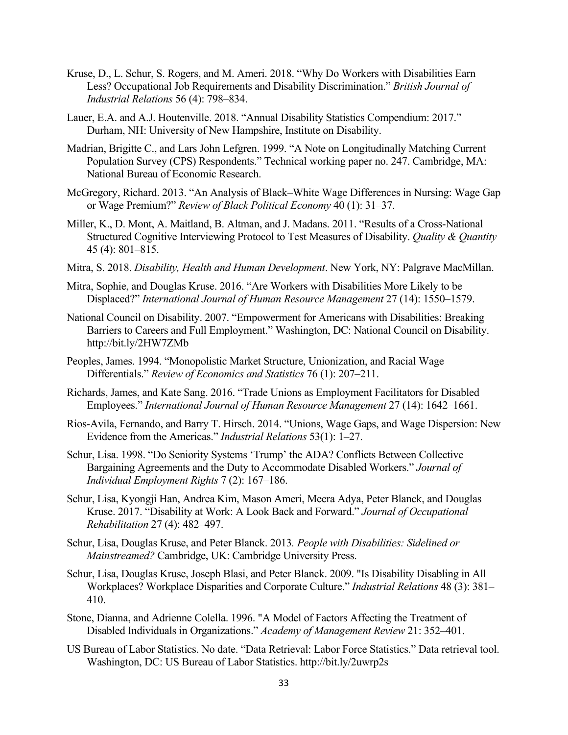- Kruse, D., L. Schur, S. Rogers, and M. Ameri. 2018. "Why Do Workers with Disabilities Earn Less? Occupational Job Requirements and Disability Discrimination." *British Journal of Industrial Relations* 56 (4): 798–834.
- Lauer, E.A. and A.J. Houtenville. 2018. "Annual Disability Statistics Compendium: 2017." Durham, NH: University of New Hampshire, Institute on Disability.
- Madrian, Brigitte C., and Lars John Lefgren. 1999. "A Note on Longitudinally Matching Current Population Survey (CPS) Respondents." Technical working paper no. 247. Cambridge, MA: National Bureau of Economic Research.
- McGregory, Richard. 2013. "An Analysis of [Black–White](http://web.b.ebscohost.com.proxy.libraries.rutgers.edu/ehost/viewarticle/render?data=dGJyMPPp44rp2%2fdV0%2bnjisfk5Ie46bZQsqa1SbWk63nn5Kx95uXxjL6rrUq3pbBIr66eSrirt1Kup55oy5zyit%2fk8Xnh6ueH7N%2fiVa%2bttEm2rbNRtKakhN%2fk5VXj5KR84LPje%2byc8nnls79mpNfsVa%2bptU23pq4%2b5OXwhd%2fqu37z4uqM4%2b7y&vid=18&sid=4deee0b6-187b-4841-af25-090de787e19c@sessionmgr104) Wage Differences in Nursing: Wage Gap or Wage [Premium?"](http://web.b.ebscohost.com.proxy.libraries.rutgers.edu/ehost/viewarticle/render?data=dGJyMPPp44rp2%2fdV0%2bnjisfk5Ie46bZQsqa1SbWk63nn5Kx95uXxjL6rrUq3pbBIr66eSrirt1Kup55oy5zyit%2fk8Xnh6ueH7N%2fiVa%2bttEm2rbNRtKakhN%2fk5VXj5KR84LPje%2byc8nnls79mpNfsVa%2bptU23pq4%2b5OXwhd%2fqu37z4uqM4%2b7y&vid=18&sid=4deee0b6-187b-4841-af25-090de787e19c@sessionmgr104) *Review of Black Political Economy* 40 (1): 31–37.
- Miller, K., D. Mont, A. Maitland, B. Altman, and J. Madans. 2011. "Results of a Cross-National Structured Cognitive Interviewing Protocol to Test Measures of Disability. *Quality & Quantity* 45 (4): 801–815.
- Mitra, S. 2018. *Disability, Health and Human Development*. New York, NY: Palgrave MacMillan.
- Mitra, Sophie, and Douglas Kruse. 2016. "Are Workers with Disabilities More Likely to be Displaced?" *International Journal of Human Resource Management* 27 (14): 1550–1579.
- National Council on Disability. 2007. "Empowerment for Americans with Disabilities: Breaking Barriers to Careers and Full Employment." Washington, DC: National Council on Disability. http://bit.ly/2HW7ZMb
- Peoples, James. 1994. "Monopolistic Market Structure, Unionization, and Racial Wage Differentials." *Review of Economics and Statistics* 76 (1): 207–211.
- Richards, James, and Kate Sang. 2016. "Trade Unions as Employment Facilitators for Disabled Employees." *International Journal of Human Resource Management* 27 (14): 1642–1661.
- Rios-Avila, Fernando, and Barry T. Hirsch. 2014. ["Unions, Wage Gaps, and Wage Dispersion: New](http://web.b.ebscohost.com.proxy.libraries.rutgers.edu/ehost/viewarticle/render?data=dGJyMPPp44rp2%2fdV0%2bnjisfk5Ie46bZQsqa1SbWk63nn5Kx95uXxjL6nrkevq61Krqe2OK%2bmuEizsK5MnsbLPvLo34bx1%2bGM5%2bXsgeKzr02xq7NNr6qwSqTi34bls%2bOGpNrgVePZ7D7y1%2bVVv8Skeeyzr0yvrLNPtZzkh%2fDj34y73POE6urjkPIA&vid=6&sid=3e93dd77-a854-4c50-9b34-48ef929c978e@pdc-v-sessmgr03)  [Evidence from the Americas.](http://web.b.ebscohost.com.proxy.libraries.rutgers.edu/ehost/viewarticle/render?data=dGJyMPPp44rp2%2fdV0%2bnjisfk5Ie46bZQsqa1SbWk63nn5Kx95uXxjL6nrkevq61Krqe2OK%2bmuEizsK5MnsbLPvLo34bx1%2bGM5%2bXsgeKzr02xq7NNr6qwSqTi34bls%2bOGpNrgVePZ7D7y1%2bVVv8Skeeyzr0yvrLNPtZzkh%2fDj34y73POE6urjkPIA&vid=6&sid=3e93dd77-a854-4c50-9b34-48ef929c978e@pdc-v-sessmgr03)" *Industrial Relations* 53(1): 1–27.
- Schur, Lisa. 1998. "Do Seniority Systems 'Trump' the ADA? Conflicts Between Collective Bargaining Agreements and the Duty to Accommodate Disabled Workers." *Journal of Individual Employment Rights* 7 (2): 167–186.
- Schur, Lisa, Kyongji Han, Andrea Kim, Mason Ameri, Meera Adya, Peter Blanck, and Douglas Kruse. 2017. "Disability at Work: A Look Back and Forward." *Journal of Occupational Rehabilitation* 27 (4): 482–497.
- Schur, Lisa, Douglas Kruse, and Peter Blanck. 2013*. People with Disabilities: Sidelined or Mainstreamed?* Cambridge, UK: Cambridge University Press.
- Schur, Lisa, Douglas Kruse, Joseph Blasi, and Peter Blanck. 2009. "Is Disability Disabling in All Workplaces? Workplace Disparities and Corporate Culture." *Industrial Relations* 48 (3): 381– 410.
- Stone, Dianna, and Adrienne Colella. 1996. "A Model of Factors Affecting the Treatment of Disabled Individuals in Organizations." *Academy of Management Review* 21: 352–401.
- US Bureau of Labor Statistics. No date. "Data Retrieval: Labor Force Statistics." Data retrieval tool. Washington, DC: US Bureau of Labor Statistics. http://bit.ly/2uwrp2s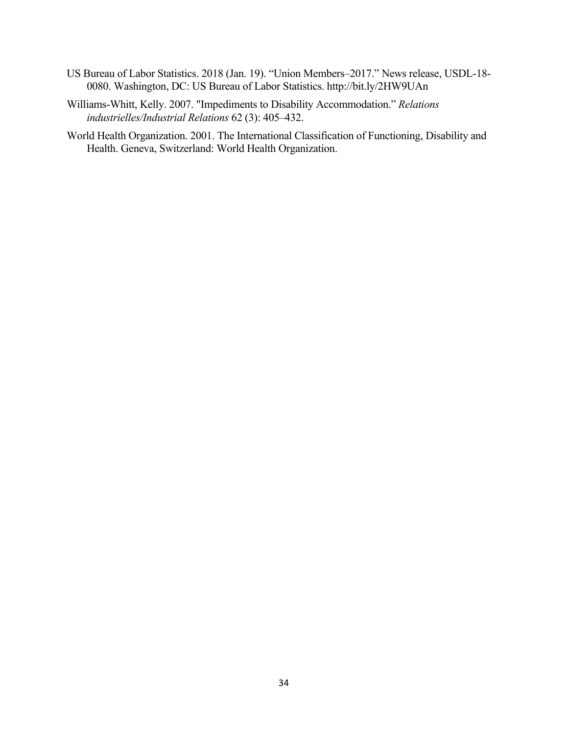- US Bureau of Labor Statistics. 2018 (Jan. 19). "Union Members–2017." News release, USDL-18- 0080. Washington, DC: US Bureau of Labor Statistics. http://bit.ly/2HW9UAn
- Williams-Whitt, Kelly. 2007. "Impediments to Disability Accommodation." *Relations industrielles/Industrial Relations* 62 (3): 405–432.
- World Health Organization. 2001. The International Classification of Functioning, Disability and Health. Geneva, Switzerland: World Health Organization.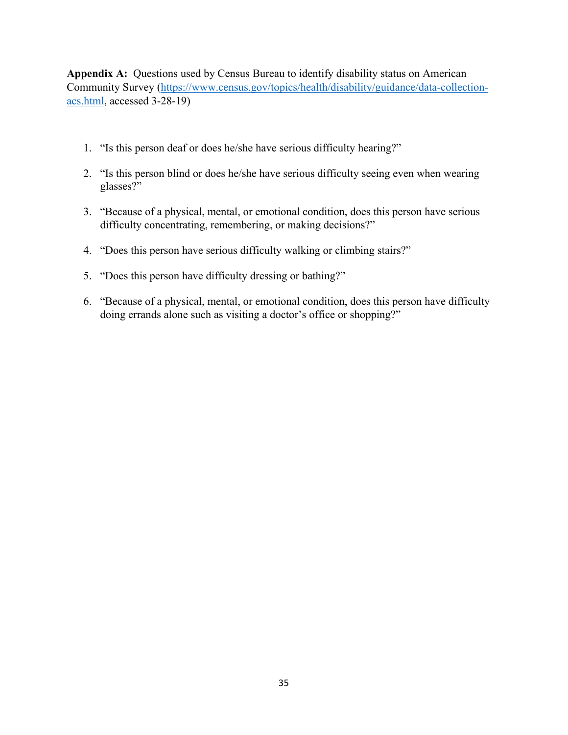**Appendix A:** Questions used by Census Bureau to identify disability status on American Community Survey [\(https://www.census.gov/topics/health/disability/guidance/data-collection](https://www.census.gov/topics/health/disability/guidance/data-collection-acs.html)[acs.html,](https://www.census.gov/topics/health/disability/guidance/data-collection-acs.html) accessed 3-28-19)

- 1. "Is this person deaf or does he/she have serious difficulty hearing?"
- 2. "Is this person blind or does he/she have serious difficulty seeing even when wearing glasses?"
- 3. "Because of a physical, mental, or emotional condition, does this person have serious difficulty concentrating, remembering, or making decisions?"
- 4. "Does this person have serious difficulty walking or climbing stairs?"
- 5. "Does this person have difficulty dressing or bathing?"
- 6. "Because of a physical, mental, or emotional condition, does this person have difficulty doing errands alone such as visiting a doctor's office or shopping?"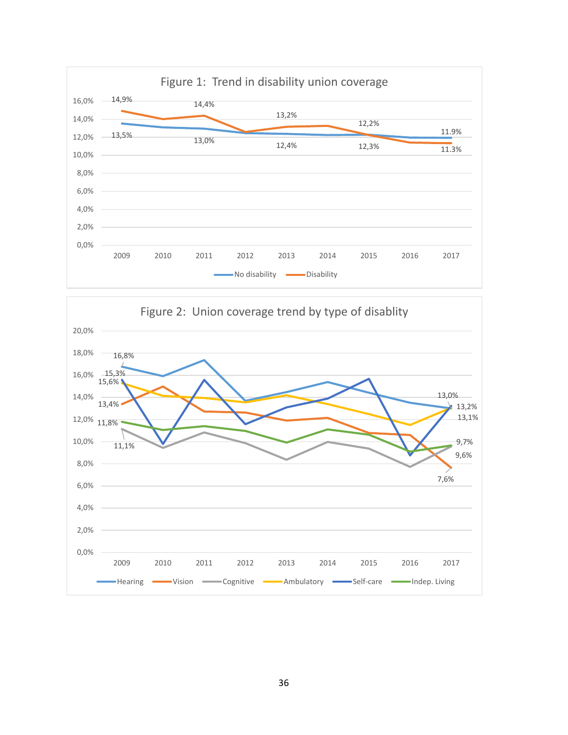

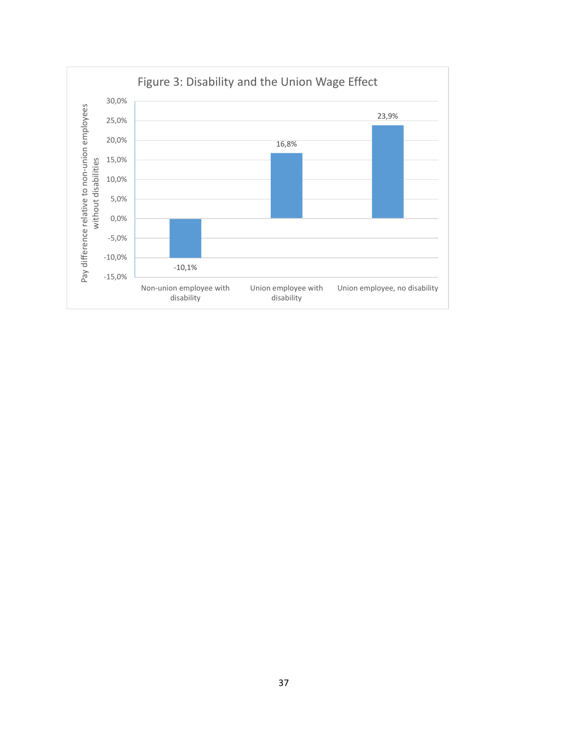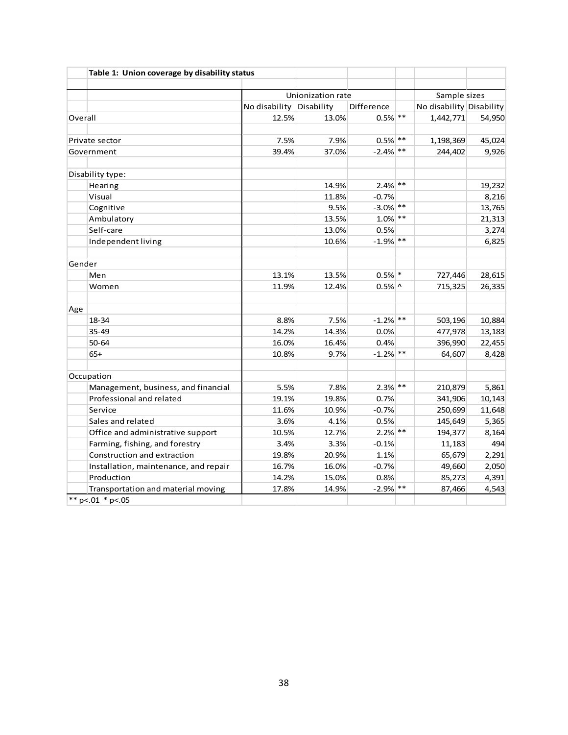|         | Table 1: Union coverage by disability status |                          |                   |             |                          |        |
|---------|----------------------------------------------|--------------------------|-------------------|-------------|--------------------------|--------|
|         |                                              |                          | Unionization rate |             | Sample sizes             |        |
|         |                                              | No disability Disability |                   | Difference  | No disability Disability |        |
| Overall |                                              | 12.5%                    | 13.0%             | $0.5\%$ **  | 1,442,771                | 54,950 |
|         |                                              |                          |                   |             |                          |        |
|         | Private sector                               | 7.5%                     | 7.9%              | $0.5\%$ **  | 1,198,369                | 45,024 |
|         | Government                                   | 39.4%                    | 37.0%             | $-2.4\%$ ** | 244,402                  | 9,926  |
|         | Disability type:                             |                          |                   |             |                          |        |
|         | Hearing                                      |                          | 14.9%             | $2.4\%$ **  |                          | 19,232 |
|         | Visual                                       |                          | 11.8%             | $-0.7%$     |                          | 8,216  |
|         | Cognitive                                    |                          | 9.5%              | $-3.0\%$ ** |                          | 13,765 |
|         | Ambulatory                                   |                          | 13.5%             | $1.0\%$ **  |                          | 21,313 |
|         | Self-care                                    |                          | 13.0%             | 0.5%        |                          | 3,274  |
|         | Independent living                           |                          | 10.6%             | $-1.9\%$ ** |                          | 6,825  |
| Gender  |                                              |                          |                   |             |                          |        |
|         | Men                                          | 13.1%                    | 13.5%             | $0.5%$ *    | 727,446                  | 28,615 |
|         | Women                                        | 11.9%                    | 12.4%             | $0.5\%$ ^   | 715,325                  | 26,335 |
| Age     |                                              |                          |                   |             |                          |        |
|         | 18-34                                        | 8.8%                     | 7.5%              | $-1.2%$ **  | 503,196                  | 10,884 |
|         | 35-49                                        | 14.2%                    | 14.3%             | 0.0%        | 477,978                  | 13,183 |
|         | $50 - 64$                                    | 16.0%                    | 16.4%             | 0.4%        | 396,990                  | 22,455 |
|         | $65+$                                        | 10.8%                    | 9.7%              | $-1.2%$ **  | 64,607                   | 8,428  |
|         | Occupation                                   |                          |                   |             |                          |        |
|         | Management, business, and financial          | 5.5%                     | 7.8%              | $2.3%$ **   | 210,879                  | 5,861  |
|         | Professional and related                     | 19.1%                    | 19.8%             | 0.7%        | 341,906                  | 10,143 |
|         | Service                                      | 11.6%                    | 10.9%             | $-0.7%$     | 250,699                  | 11,648 |
|         | Sales and related                            | 3.6%                     | 4.1%              | 0.5%        | 145,649                  | 5,365  |
|         | Office and administrative support            | 10.5%                    | 12.7%             | $2.2%$ **   | 194,377                  | 8,164  |
|         | Farming, fishing, and forestry               | 3.4%                     | 3.3%              | $-0.1%$     | 11,183                   | 494    |
|         | Construction and extraction                  | 19.8%                    | 20.9%             | 1.1%        | 65,679                   | 2,291  |
|         | Installation, maintenance, and repair        | 16.7%                    | 16.0%             | $-0.7%$     | 49,660                   | 2,050  |
|         | Production                                   | 14.2%                    | 15.0%             | 0.8%        | 85,273                   | 4,391  |
|         | Transportation and material moving           | 17.8%                    | 14.9%             | $-2.9\%$ ** | 87,466                   | 4,543  |
|         | ** $p<01$ * $p<05$                           |                          |                   |             |                          |        |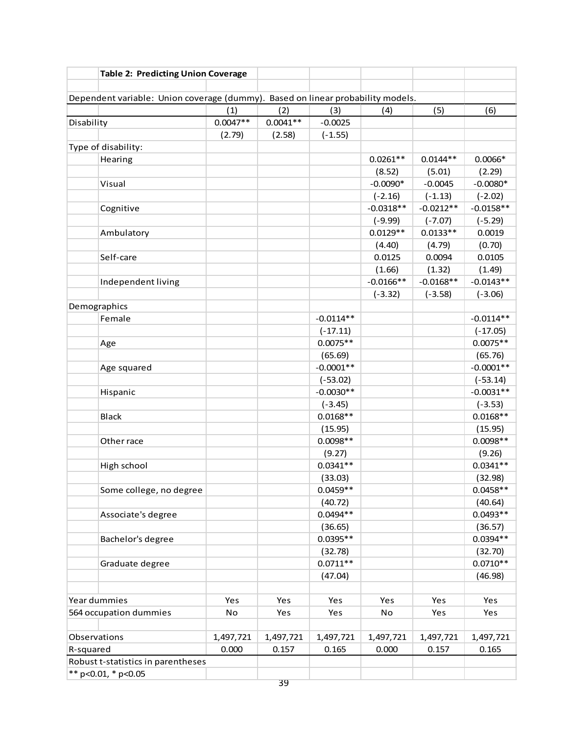|            | <b>Table 2: Predicting Union Coverage</b>                                       |            |            |                           |             |             |                       |
|------------|---------------------------------------------------------------------------------|------------|------------|---------------------------|-------------|-------------|-----------------------|
|            |                                                                                 |            |            |                           |             |             |                       |
|            | Dependent variable: Union coverage (dummy). Based on linear probability models. |            |            |                           |             |             |                       |
|            |                                                                                 | (1)        | (2)        | (3)                       | (4)         | (5)         | (6)                   |
| Disability |                                                                                 | $0.0047**$ | $0.0041**$ | $-0.0025$                 |             |             |                       |
|            |                                                                                 | (2.79)     | (2.58)     | $(-1.55)$                 |             |             |                       |
|            | Type of disability:                                                             |            |            |                           |             |             |                       |
|            | Hearing                                                                         |            |            |                           | $0.0261**$  | $0.0144**$  | $0.0066*$             |
|            |                                                                                 |            |            |                           | (8.52)      | (5.01)      | (2.29)                |
|            | Visual                                                                          |            |            |                           | $-0.0090*$  | $-0.0045$   | $-0.0080*$            |
|            |                                                                                 |            |            |                           | $(-2.16)$   | $(-1.13)$   | $(-2.02)$             |
|            | Cognitive                                                                       |            |            |                           | $-0.0318**$ | $-0.0212**$ | $-0.0158**$           |
|            |                                                                                 |            |            |                           | $(-9.99)$   | $(-7.07)$   | $(-5.29)$             |
|            | Ambulatory                                                                      |            |            |                           | $0.0129**$  | $0.0133**$  | 0.0019                |
|            |                                                                                 |            |            |                           | (4.40)      | (4.79)      | (0.70)                |
|            | Self-care                                                                       |            |            |                           | 0.0125      | 0.0094      | 0.0105                |
|            |                                                                                 |            |            |                           | (1.66)      | (1.32)      | (1.49)                |
|            | Independent living                                                              |            |            |                           | $-0.0166**$ | $-0.0168**$ | $-0.0143**$           |
|            |                                                                                 |            |            |                           | $(-3.32)$   | $(-3.58)$   | $(-3.06)$             |
|            | Demographics                                                                    |            |            |                           |             |             |                       |
|            | Female                                                                          |            |            | $-0.0114**$               |             |             | $-0.0114**$           |
|            |                                                                                 |            |            | $(-17.11)$                |             |             | $(-17.05)$            |
|            | Age                                                                             |            |            | $0.0075**$                |             |             | $0.0075**$            |
|            |                                                                                 |            |            | (65.69)                   |             |             | (65.76)               |
|            | Age squared                                                                     |            |            | $-0.0001**$               |             |             | $-0.0001**$           |
|            |                                                                                 |            |            | $(-53.02)$<br>$-0.0030**$ |             |             | $(-53.14)$            |
|            | Hispanic                                                                        |            |            |                           |             |             | $-0.0031**$           |
|            |                                                                                 |            |            | $(-3.45)$                 |             |             | $(-3.53)$             |
|            | <b>Black</b>                                                                    |            |            | $0.0168**$                |             |             | $0.0168**$            |
|            |                                                                                 |            |            | (15.95)<br>$0.0098**$     |             |             | (15.95)<br>$0.0098**$ |
|            | Other race                                                                      |            |            |                           |             |             |                       |
|            |                                                                                 |            |            | (9.27)<br>$0.0341**$      |             |             | (9.26)<br>$0.0341**$  |
|            | High school                                                                     |            |            |                           |             |             |                       |
|            | Some college, no degree                                                         |            |            | (33.03)<br>$0.0459**$     |             |             | (32.98)<br>$0.0458**$ |
|            |                                                                                 |            |            | (40.72)                   |             |             |                       |
|            | Associate's degree                                                              |            |            | $0.0494**$                |             |             | (40.64)<br>$0.0493**$ |
|            |                                                                                 |            |            |                           |             |             | (36.57)               |
|            | Bachelor's degree                                                               |            |            | (36.65)<br>$0.0395**$     |             |             | $0.0394**$            |
|            |                                                                                 |            |            | (32.78)                   |             |             | (32.70)               |
|            | Graduate degree                                                                 |            |            | $0.0711**$                |             |             | $0.0710**$            |
|            |                                                                                 |            |            | (47.04)                   |             |             | (46.98)               |
|            |                                                                                 |            |            |                           |             |             |                       |
|            | Year dummies                                                                    | Yes        | Yes        | Yes                       | Yes         | Yes         | Yes                   |
|            | 564 occupation dummies                                                          | No         | Yes        | Yes                       | No          | Yes         | Yes                   |
|            |                                                                                 |            |            |                           |             |             |                       |
|            | Observations                                                                    | 1,497,721  | 1,497,721  | 1,497,721                 | 1,497,721   | 1,497,721   | 1,497,721             |
| R-squared  |                                                                                 | 0.000      | 0.157      | 0.165                     | 0.000       | 0.157       | 0.165                 |
|            | Robust t-statistics in parentheses                                              |            |            |                           |             |             |                       |
|            | ** p<0.01, * p<0.05                                                             |            |            |                           |             |             |                       |
|            |                                                                                 |            | 39         |                           |             |             |                       |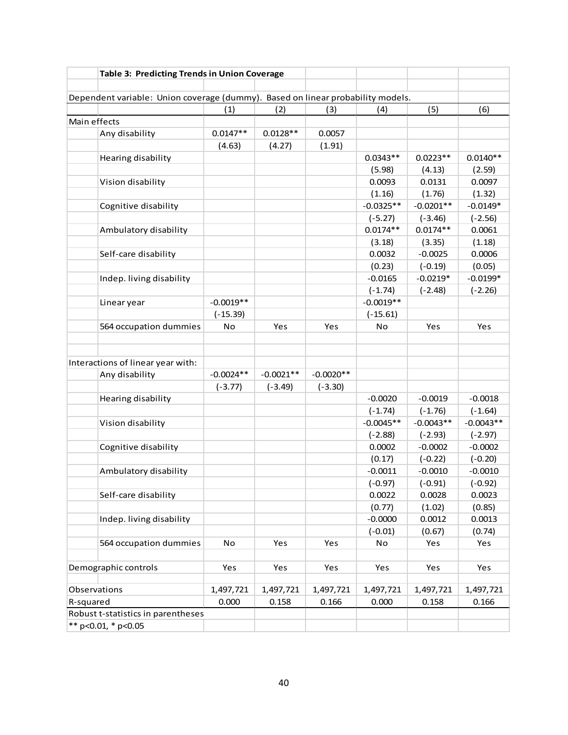|              | Table 3: Predicting Trends in Union Coverage                                    |             |             |             |                          |                         |                      |
|--------------|---------------------------------------------------------------------------------|-------------|-------------|-------------|--------------------------|-------------------------|----------------------|
|              | Dependent variable: Union coverage (dummy). Based on linear probability models. |             |             |             |                          |                         |                      |
|              |                                                                                 | (1)         | (2)         | (3)         | (4)                      | (5)                     | (6)                  |
| Main effects |                                                                                 |             |             |             |                          |                         |                      |
|              | Any disability                                                                  | $0.0147**$  | $0.0128**$  | 0.0057      |                          |                         |                      |
|              |                                                                                 | (4.63)      | (4.27)      | (1.91)      |                          |                         |                      |
|              | Hearing disability                                                              |             |             |             | $0.0343**$               | $0.0223**$              | $0.0140**$           |
|              |                                                                                 |             |             |             | (5.98)                   | (4.13)                  | (2.59)               |
|              | Vision disability                                                               |             |             |             | 0.0093                   | 0.0131                  | 0.0097               |
|              |                                                                                 |             |             |             | (1.16)                   | (1.76)                  | (1.32)               |
|              | Cognitive disability                                                            |             |             |             | $-0.0325**$              | $-0.0201**$             | $-0.0149*$           |
|              |                                                                                 |             |             |             | $(-5.27)$                | $(-3.46)$               | $(-2.56)$            |
|              | Ambulatory disability                                                           |             |             |             | $0.0174**$               | $0.0174**$              | 0.0061               |
|              |                                                                                 |             |             |             | (3.18)                   | (3.35)                  | (1.18)               |
|              | Self-care disability                                                            |             |             |             | 0.0032                   | $-0.0025$               | 0.0006               |
|              |                                                                                 |             |             |             |                          |                         |                      |
|              |                                                                                 |             |             |             | (0.23)<br>$-0.0165$      | $(-0.19)$<br>$-0.0219*$ | (0.05)<br>$-0.0199*$ |
|              | Indep. living disability                                                        |             |             |             |                          |                         |                      |
|              |                                                                                 | $-0.0019**$ |             |             | $(-1.74)$<br>$-0.0019**$ | $(-2.48)$               | $(-2.26)$            |
|              | Linear year                                                                     |             |             |             |                          |                         |                      |
|              |                                                                                 | $(-15.39)$  |             |             | $(-15.61)$               |                         |                      |
|              | 564 occupation dummies                                                          | No          | Yes         | Yes         | No                       | Yes                     | Yes                  |
|              |                                                                                 |             |             |             |                          |                         |                      |
|              |                                                                                 |             |             |             |                          |                         |                      |
|              | Interactions of linear year with:                                               |             |             |             |                          |                         |                      |
|              | Any disability                                                                  | $-0.0024**$ | $-0.0021**$ | $-0.0020**$ |                          |                         |                      |
|              |                                                                                 | $(-3.77)$   | $(-3.49)$   | $(-3.30)$   |                          |                         |                      |
|              | Hearing disability                                                              |             |             |             | $-0.0020$                | $-0.0019$               | $-0.0018$            |
|              |                                                                                 |             |             |             | $(-1.74)$                | $(-1.76)$               | $(-1.64)$            |
|              | Vision disability                                                               |             |             |             | $-0.0045**$              | $-0.0043**$             | $-0.0043**$          |
|              |                                                                                 |             |             |             | $(-2.88)$                | $(-2.93)$               | $(-2.97)$            |
|              | Cognitive disability                                                            |             |             |             | 0.0002                   | $-0.0002$               | $-0.0002$            |
|              |                                                                                 |             |             |             | (0.17)                   | $(-0.22)$               | $(-0.20)$            |
|              | Ambulatory disability                                                           |             |             |             | $-0.0011$                | $-0.0010$               | $-0.0010$            |
|              |                                                                                 |             |             |             | $(-0.97)$                | $(-0.91)$               | $(-0.92)$            |
|              | Self-care disability                                                            |             |             |             | 0.0022                   | 0.0028                  | 0.0023               |
|              |                                                                                 |             |             |             | (0.77)                   | (1.02)                  | (0.85)               |
|              | Indep. living disability                                                        |             |             |             | $-0.0000$                | 0.0012                  | 0.0013               |
|              |                                                                                 |             |             |             | $(-0.01)$                | (0.67)                  | (0.74)               |
|              | 564 occupation dummies                                                          | No          | Yes         | Yes         | No                       | Yes                     | Yes                  |
|              |                                                                                 |             |             |             |                          |                         |                      |
|              | Demographic controls                                                            | Yes         | Yes         | Yes         | Yes                      | Yes                     | Yes                  |
|              |                                                                                 |             |             |             |                          |                         |                      |
| Observations |                                                                                 | 1,497,721   | 1,497,721   | 1,497,721   | 1,497,721                | 1,497,721               | 1,497,721            |
| R-squared    |                                                                                 | 0.000       | 0.158       | 0.166       | 0.000                    | 0.158                   | 0.166                |
|              | Robust t-statistics in parentheses                                              |             |             |             |                          |                         |                      |
|              | ** p<0.01, * p<0.05                                                             |             |             |             |                          |                         |                      |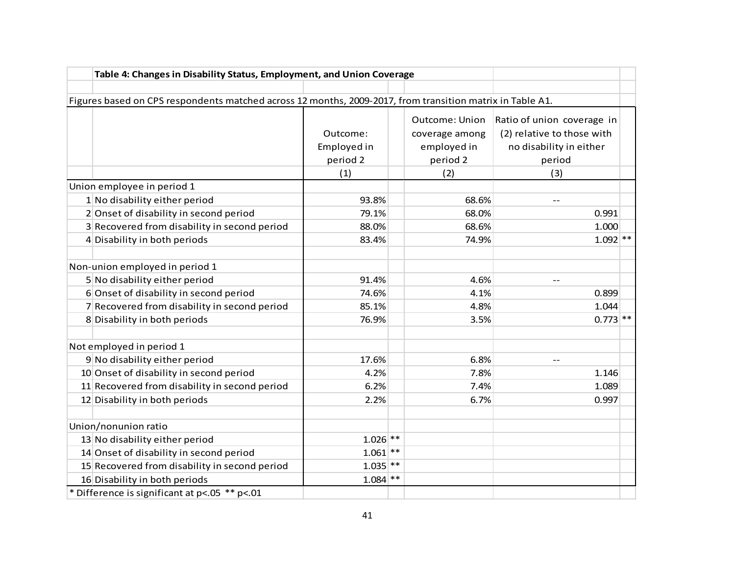| Table 4: Changes in Disability Status, Employment, and Union Coverage                                     |                                            |       |                                                                    |                                                                                                      |  |
|-----------------------------------------------------------------------------------------------------------|--------------------------------------------|-------|--------------------------------------------------------------------|------------------------------------------------------------------------------------------------------|--|
|                                                                                                           |                                            |       |                                                                    |                                                                                                      |  |
| Figures based on CPS respondents matched across 12 months, 2009-2017, from transition matrix in Table A1. |                                            |       |                                                                    |                                                                                                      |  |
|                                                                                                           | Outcome:<br>Employed in<br>period 2<br>(1) |       | Outcome: Union<br>coverage among<br>employed in<br>period 2<br>(2) | Ratio of union coverage in<br>(2) relative to those with<br>no disability in either<br>period<br>(3) |  |
| Union employee in period 1                                                                                |                                            |       |                                                                    |                                                                                                      |  |
| 1 No disability either period                                                                             | 93.8%                                      |       | 68.6%                                                              | $-$                                                                                                  |  |
| 2 Onset of disability in second period                                                                    | 79.1%                                      |       | 68.0%                                                              | 0.991                                                                                                |  |
| 3 Recovered from disability in second period                                                              | 88.0%                                      |       | 68.6%                                                              | 1.000                                                                                                |  |
| 4 Disability in both periods                                                                              | 83.4%                                      |       | 74.9%                                                              | $1.092$ **                                                                                           |  |
|                                                                                                           |                                            |       |                                                                    |                                                                                                      |  |
| Non-union employed in period 1                                                                            |                                            |       |                                                                    |                                                                                                      |  |
| 5 No disability either period                                                                             | 91.4%                                      |       | 4.6%                                                               | $-$                                                                                                  |  |
| 6 Onset of disability in second period                                                                    | 74.6%                                      |       | 4.1%                                                               | 0.899                                                                                                |  |
| 7 Recovered from disability in second period                                                              | 85.1%                                      |       | 4.8%                                                               | 1.044                                                                                                |  |
| 8 Disability in both periods                                                                              | 76.9%                                      |       | 3.5%                                                               | $0.773$ **                                                                                           |  |
| Not employed in period 1                                                                                  |                                            |       |                                                                    |                                                                                                      |  |
| 9 No disability either period                                                                             | 17.6%                                      |       | 6.8%                                                               |                                                                                                      |  |
| 10 Onset of disability in second period                                                                   | 4.2%                                       |       | 7.8%                                                               | 1.146                                                                                                |  |
| 11 Recovered from disability in second period                                                             | 6.2%                                       |       | 7.4%                                                               | 1.089                                                                                                |  |
| 12 Disability in both periods                                                                             | 2.2%                                       |       | 6.7%                                                               | 0.997                                                                                                |  |
|                                                                                                           |                                            |       |                                                                    |                                                                                                      |  |
| Union/nonunion ratio                                                                                      |                                            |       |                                                                    |                                                                                                      |  |
| 13 No disability either period                                                                            | $1.026$ **                                 |       |                                                                    |                                                                                                      |  |
| 14 Onset of disability in second period                                                                   | 1.061                                      | $***$ |                                                                    |                                                                                                      |  |
| 15 Recovered from disability in second period                                                             | $1.035$ **                                 |       |                                                                    |                                                                                                      |  |
| 16 Disability in both periods                                                                             | $1.084$ **                                 |       |                                                                    |                                                                                                      |  |
| * Difference is significant at p<.05 ** p<.01                                                             |                                            |       |                                                                    |                                                                                                      |  |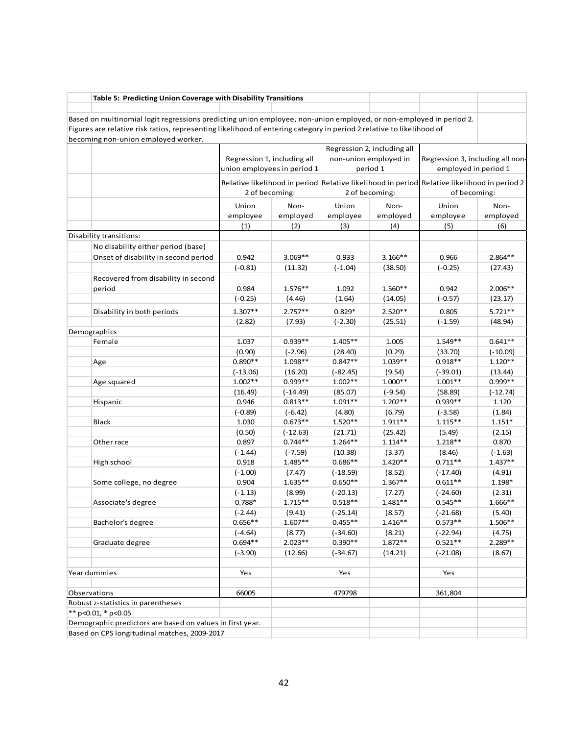| Table 5: Predicting Union Coverage with Disability Transitions                                                       |                        |                             |                         |                             |                                                                                             |                   |  |
|----------------------------------------------------------------------------------------------------------------------|------------------------|-----------------------------|-------------------------|-----------------------------|---------------------------------------------------------------------------------------------|-------------------|--|
| Based on multinomial logit regressions predicting union employee, non-union employed, or non-employed in period 2.   |                        |                             |                         |                             |                                                                                             |                   |  |
| Figures are relative risk ratios, representing likelihood of entering category in period 2 relative to likelihood of |                        |                             |                         |                             |                                                                                             |                   |  |
| becoming non-union employed worker.                                                                                  |                        |                             |                         |                             |                                                                                             |                   |  |
|                                                                                                                      |                        |                             |                         | Regression 2, including all |                                                                                             |                   |  |
|                                                                                                                      |                        | Regression 1, including all |                         | non-union employed in       | Regression 3, including all non-                                                            |                   |  |
|                                                                                                                      |                        | union employees in period 1 |                         | period 1                    | employed in period 1                                                                        |                   |  |
|                                                                                                                      |                        |                             |                         |                             | Relative likelihood in period Relative likelihood in period Relative likelihood in period 2 |                   |  |
|                                                                                                                      |                        | 2 of becoming:              |                         | 2 of becoming:              | of becoming:                                                                                |                   |  |
|                                                                                                                      | Union                  | Non-                        | Union                   | Non-                        | Union                                                                                       | Non-              |  |
|                                                                                                                      | employee               | employed                    | employee                | employed                    | employee                                                                                    | employed          |  |
|                                                                                                                      | (1)                    | (2)                         | (3)                     | (4)                         | (5)                                                                                         | (6)               |  |
| Disability transitions:                                                                                              |                        |                             |                         |                             |                                                                                             |                   |  |
| No disability either period (base)                                                                                   |                        |                             |                         |                             |                                                                                             |                   |  |
| Onset of disability in second period                                                                                 | 0.942                  | $3.069**$                   | 0.933                   | $3.166**$                   | 0.966                                                                                       | $2.864**$         |  |
|                                                                                                                      | $(-0.81)$              | (11.32)                     | $(-1.04)$               | (38.50)                     | $(-0.25)$                                                                                   | (27.43)           |  |
| Recovered from disability in second                                                                                  |                        |                             |                         |                             |                                                                                             |                   |  |
| period                                                                                                               | 0.984                  | $1.576**$                   | 1.092                   | 1.560**                     | 0.942                                                                                       | $2.006**$         |  |
|                                                                                                                      | $(-0.25)$              | (4.46)                      | (1.64)                  | (14.05)                     | $(-0.57)$                                                                                   | (23.17)           |  |
|                                                                                                                      |                        |                             |                         |                             |                                                                                             |                   |  |
| Disability in both periods                                                                                           | $1.307**$              | $2.757**$                   | $0.829*$                | 2.520**                     | 0.805                                                                                       | $5.721**$         |  |
|                                                                                                                      | (2.82)                 | (7.93)                      | $(-2.30)$               | (25.51)                     | $(-1.59)$                                                                                   | (48.94)           |  |
| Demographics                                                                                                         |                        |                             |                         |                             |                                                                                             |                   |  |
| Female                                                                                                               | 1.037                  | $0.939**$                   | $1.405**$               | 1.005                       | $1.549**$                                                                                   | $0.641**$         |  |
|                                                                                                                      | (0.90)                 | $(-2.96)$                   | (28.40)                 | (0.29)                      | (33.70)                                                                                     | $(-10.09)$        |  |
| Age                                                                                                                  | $0.890**$              | 1.098**                     | $0.847**$               | $1.039**$                   | $0.918**$                                                                                   | $1.120**$         |  |
|                                                                                                                      | $(-13.06)$             | (16.20)                     | $(-82.45)$              | (9.54)                      | $(-39.01)$                                                                                  | (13.44)           |  |
| Age squared                                                                                                          | $1.002**$              | $0.999**$                   | $1.002**$               | $1.000**$                   | $1.001**$                                                                                   | $0.999**$         |  |
|                                                                                                                      | (16.49)                | $(-14.49)$                  | (85.07)                 | $(-9.54)$                   | (58.89)                                                                                     | $(-12.74)$        |  |
| Hispanic                                                                                                             | 0.946                  | $0.813**$                   | $1.091**$               | $1.202**$                   | $0.939**$                                                                                   | 1.120             |  |
|                                                                                                                      | $(-0.89)$              | $(-6.42)$                   | (4.80)                  | (6.79)                      | $(-3.58)$                                                                                   | (1.84)            |  |
| Black                                                                                                                | 1.030                  | $0.673**$                   | $1.520**$               | $1.911**$                   | $1.115***$                                                                                  | $1.151*$          |  |
|                                                                                                                      | (0.50)                 | $(-12.63)$                  | (21.71)                 | (25.42)                     | (5.49)                                                                                      | (2.15)            |  |
| Other race                                                                                                           | 0.897                  | $0.744**$                   | $1.264**$               | $1.114**$                   | $1.218**$                                                                                   | 0.870             |  |
|                                                                                                                      | $(-1.44)$              | $(-7.59)$                   | (10.38)                 | (3.37)                      | (8.46)                                                                                      | $(-1.63)$         |  |
| High school                                                                                                          | 0.918                  | $1.485**$                   | $0.686**$               | $1.420**$                   | $0.711**$                                                                                   | $1.437**$         |  |
|                                                                                                                      | $(-1.00)$              | (7.47)                      | $(-18.59)$              | (8.52)                      | $(-17.40)$                                                                                  | (4.91)            |  |
| Some college, no degree                                                                                              | 0.904                  | $1.635**$                   | $0.650**$               | $1.367**$                   | $0.611**$                                                                                   | 1.198*            |  |
|                                                                                                                      | $(-1.13)$              | (8.99)                      | $(-20.13)$              | (7.27)                      | $(-24.60)$<br>$0.545**$                                                                     | (2.31)            |  |
| Associate's degree                                                                                                   | $0.788*$               | $1.715**$                   | $0.518**$               | $1.481**$                   |                                                                                             | 1.666**           |  |
|                                                                                                                      | $(-2.44)$<br>$0.656**$ | (9.41)<br>$1.607**$         | $(-25.14)$<br>$0.455**$ | (8.57)<br>$1.416**$         | $(-21.68)$<br>$0.573**$                                                                     | (5.40)<br>1.506** |  |
| Bachelor's degree                                                                                                    | $(-4.64)$              | (8.77)                      |                         |                             |                                                                                             |                   |  |
|                                                                                                                      | $0.694**$              | $2.023**$                   | $(-34.60)$<br>$0.390**$ | (8.21)<br>$1.872**$         | $(-22.94)$<br>$0.521**$                                                                     | (4.75)<br>2.289** |  |
| Graduate degree                                                                                                      |                        |                             |                         |                             |                                                                                             |                   |  |
|                                                                                                                      | $(-3.90)$              | (12.66)                     | $(-34.67)$              | (14.21)                     | $(-21.08)$                                                                                  | (8.67)            |  |
| Year dummies                                                                                                         | Yes                    |                             | Yes                     |                             | Yes                                                                                         |                   |  |
|                                                                                                                      |                        |                             |                         |                             |                                                                                             |                   |  |
| Observations                                                                                                         | 66005                  |                             | 479798                  |                             | 361,804                                                                                     |                   |  |
| Robust z-statistics in parentheses                                                                                   |                        |                             |                         |                             |                                                                                             |                   |  |
| ** $p<0.01$ , * $p<0.05$                                                                                             |                        |                             |                         |                             |                                                                                             |                   |  |
| Demographic predictors are based on values in first year.                                                            |                        |                             |                         |                             |                                                                                             |                   |  |
| Based on CPS longitudinal matches, 2009-2017                                                                         |                        |                             |                         |                             |                                                                                             |                   |  |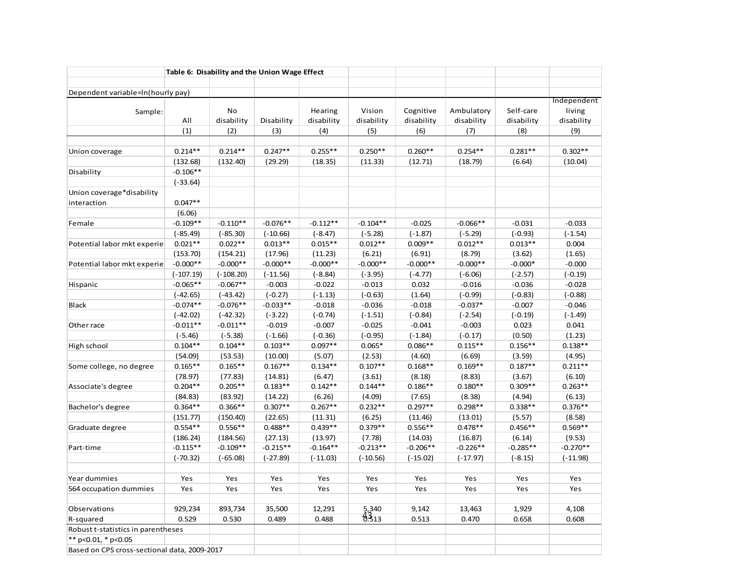|                                              |             |             | Table 6: Disability and the Union Wage Effect |            |            |            |            |            |             |
|----------------------------------------------|-------------|-------------|-----------------------------------------------|------------|------------|------------|------------|------------|-------------|
|                                              |             |             |                                               |            |            |            |            |            |             |
| Dependent variable=In(hourly pay)            |             |             |                                               |            |            |            |            |            | Independent |
| Sample:                                      |             | No          |                                               | Hearing    | Vision     | Cognitive  | Ambulatory | Self-care  | living      |
|                                              | All         | disability  | Disability                                    | disability | disability | disability | disability | disability | disability  |
|                                              | (1)         | (2)         | (3)                                           | (4)        | (5)        | (6)        | (7)        | (8)        | (9)         |
|                                              |             |             |                                               |            |            |            |            |            |             |
| Union coverage                               | $0.214**$   | $0.214**$   | $0.247**$                                     | $0.255**$  | $0.250**$  | $0.260**$  | $0.254**$  | $0.281**$  | $0.302**$   |
|                                              | (132.68)    | (132.40)    | (29.29)                                       | (18.35)    | (11.33)    | (12.71)    | (18.79)    | (6.64)     | (10.04)     |
| Disability                                   | $-0.106**$  |             |                                               |            |            |            |            |            |             |
|                                              | $(-33.64)$  |             |                                               |            |            |            |            |            |             |
| Union coverage*disability                    |             |             |                                               |            |            |            |            |            |             |
| interaction                                  | $0.047**$   |             |                                               |            |            |            |            |            |             |
|                                              | (6.06)      |             |                                               |            |            |            |            |            |             |
| Female                                       | $-0.109**$  | $-0.110**$  | $-0.076**$                                    | $-0.112**$ | $-0.104**$ | $-0.025$   | $-0.066**$ | $-0.031$   | $-0.033$    |
|                                              | $(-85.49)$  | $(-85.30)$  | $(-10.66)$                                    | $(-8.47)$  | $(-5.28)$  | $(-1.87)$  | $(-5.29)$  | $(-0.93)$  | $(-1.54)$   |
| Potential labor mkt experie                  | $0.021**$   | $0.022**$   | $0.013**$                                     | $0.015**$  | $0.012**$  | $0.009**$  | $0.012**$  | $0.013**$  | 0.004       |
|                                              | (153.70)    | (154.21)    | (17.96)                                       | (11.23)    | (6.21)     | (6.91)     | (8.79)     | (3.62)     | (1.65)      |
| Potential labor mkt experie                  | $-0.000**$  | $-0.000**$  | $-0.000**$                                    | $-0.000**$ | $-0.000**$ | $-0.000**$ | $-0.000**$ | $-0.000*$  | $-0.000$    |
|                                              | $(-107.19)$ | $(-108.20)$ | $(-11.56)$                                    | $(-8.84)$  | $(-3.95)$  | $(-4.77)$  | $(-6.06)$  | $(-2.57)$  | $(-0.19)$   |
| Hispanic                                     | $-0.065**$  | $-0.067**$  | $-0.003$                                      | $-0.022$   | $-0.013$   | 0.032      | $-0.016$   | $-0.036$   | $-0.028$    |
|                                              | $(-42.65)$  | $(-43.42)$  | $(-0.27)$                                     | $(-1.13)$  | $(-0.63)$  | (1.64)     | $(-0.99)$  | $(-0.83)$  | $(-0.88)$   |
| <b>Black</b>                                 | $-0.074**$  | $-0.076**$  | $-0.033**$                                    | $-0.018$   | $-0.036$   | $-0.018$   | $-0.037*$  | $-0.007$   | $-0.046$    |
|                                              | $(-42.02)$  | $(-42.32)$  | $(-3.22)$                                     | $(-0.74)$  | $(-1.51)$  | $(-0.84)$  | $(-2.54)$  | $(-0.19)$  | $(-1.49)$   |
| Other race                                   | $-0.011**$  | $-0.011**$  | $-0.019$                                      | $-0.007$   | $-0.025$   | $-0.041$   | $-0.003$   | 0.023      | 0.041       |
|                                              | $(-5.46)$   | $(-5.38)$   | $(-1.66)$                                     | $(-0.36)$  | $(-0.95)$  | $(-1.84)$  | $(-0.17)$  | (0.50)     | (1.23)      |
| High school                                  | $0.104**$   | $0.104**$   | $0.103**$                                     | $0.097**$  | $0.065*$   | $0.086**$  | $0.115**$  | $0.156**$  | $0.138**$   |
|                                              | (54.09)     | (53.53)     | (10.00)                                       | (5.07)     | (2.53)     | (4.60)     | (6.69)     | (3.59)     | (4.95)      |
| Some college, no degree                      | $0.165**$   | $0.165**$   | $0.167**$                                     | $0.134**$  | $0.107**$  | $0.168**$  | $0.169**$  | $0.187**$  | $0.211**$   |
|                                              | (78.97)     | (77.83)     | (14.81)                                       | (6.47)     | (3.61)     | (8.18)     | (8.83)     | (3.67)     | (6.10)      |
| Associate's degree                           | $0.204**$   | $0.205**$   | $0.183**$                                     | $0.142**$  | $0.144**$  | $0.186**$  | $0.180**$  | $0.309**$  | $0.263**$   |
|                                              | (84.83)     | (83.92)     | (14.22)                                       | (6.26)     | (4.09)     | (7.65)     | (8.38)     | (4.94)     | (6.13)      |
| Bachelor's degree                            | $0.364**$   | $0.366**$   | $0.307**$                                     | $0.267**$  | $0.232**$  | $0.297**$  | $0.298**$  | $0.338**$  | $0.376**$   |
|                                              | (151.77)    | (150.40)    | (22.65)                                       | (11.31)    | (6.25)     | (11.46)    | (13.01)    | (5.57)     | (8.58)      |
| Graduate degree                              | $0.554**$   | $0.556**$   | $0.488**$                                     | $0.439**$  | $0.379**$  | $0.556**$  | $0.478**$  | $0.456**$  | $0.569**$   |
|                                              | (186.24)    | (184.56)    | (27.13)                                       | (13.97)    | (7.78)     | (14.03)    | (16.87)    | (6.14)     | (9.53)      |
| Part-time                                    | $-0.115**$  | $-0.109**$  | $-0.215**$                                    | $-0.164**$ | $-0.213**$ | $-0.206**$ | $-0.226**$ | $-0.285**$ | $-0.270**$  |
|                                              | $(-70.32)$  | $(-65.08)$  | $(-27.89)$                                    | $(-11.03)$ | $(-10.56)$ | $(-15.02)$ | $(-17.97)$ | $(-8.15)$  | $(-11.98)$  |
|                                              |             |             |                                               |            |            |            |            |            |             |
| Year dummies                                 | Yes         | Yes         | Yes                                           | Yes        | Yes        | Yes        | Yes        | Yes        | Yes         |
| 564 occupation dummies                       | Yes         | Yes         | Yes                                           | Yes        | Yes        | Yes        | Yes        | Yes        | Yes         |
|                                              |             |             |                                               |            |            |            |            |            |             |
| Observations                                 | 929,234     | 893,734     | 35,500                                        | 12,291     | 5,340      | 9,142      | 13,463     | 1,929      | 4,108       |
| R-squared                                    | 0.529       | 0.530       | 0.489                                         | 0.488      | 0.313      | 0.513      | 0.470      | 0.658      | 0.608       |
| Robust t-statistics in parentheses           |             |             |                                               |            |            |            |            |            |             |
| ** p<0.01, * p<0.05                          |             |             |                                               |            |            |            |            |            |             |
| Based on CPS cross-sectional data, 2009-2017 |             |             |                                               |            |            |            |            |            |             |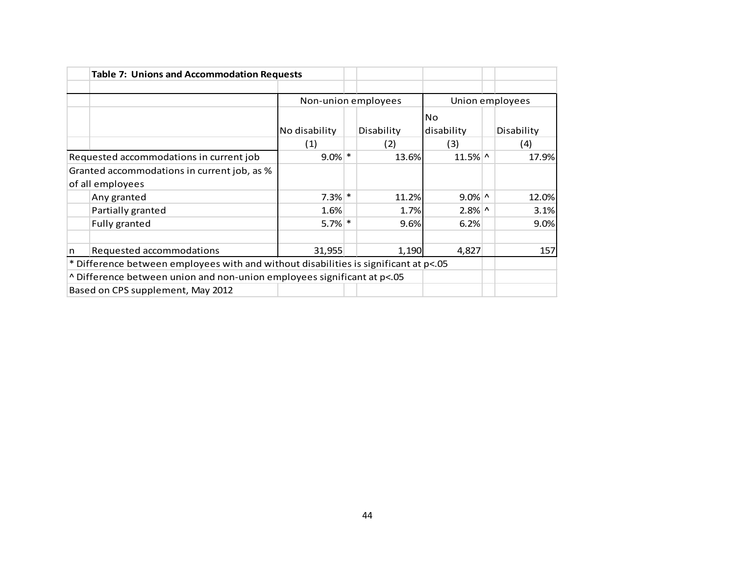|   |                                                                                      |               | Non-union employees |            | Union employees |
|---|--------------------------------------------------------------------------------------|---------------|---------------------|------------|-----------------|
|   |                                                                                      |               |                     |            |                 |
|   |                                                                                      |               |                     | <b>No</b>  |                 |
|   |                                                                                      | No disability | Disability          | disability | Disability      |
|   |                                                                                      | (1)           | (2)                 | (3)        | (4)             |
|   | Requested accommodations in current job                                              | $9.0\%$ *     | 13.6%               | $11.5\%$ ^ | 17.9%           |
|   | Granted accommodations in current job, as %                                          |               |                     |            |                 |
|   | of all employees                                                                     |               |                     |            |                 |
|   | Any granted                                                                          | $7.3%$ *      | 11.2%               | $9.0\%$ ^  | 12.0%           |
|   | Partially granted                                                                    | 1.6%          | 1.7%                | $2.8\%$ ^  | 3.1%            |
|   | Fully granted                                                                        | $5.7\%$ *     | 9.6%                | 6.2%       | 9.0%            |
| n | Requested accommodations                                                             | 31,955        | 1,190               | 4,827      | 157             |
|   | * Difference between employees with and without disabilities is significant at p<.05 |               |                     |            |                 |
|   | $\land$ Difference between union and non-union employees significant at p<.05        |               |                     |            |                 |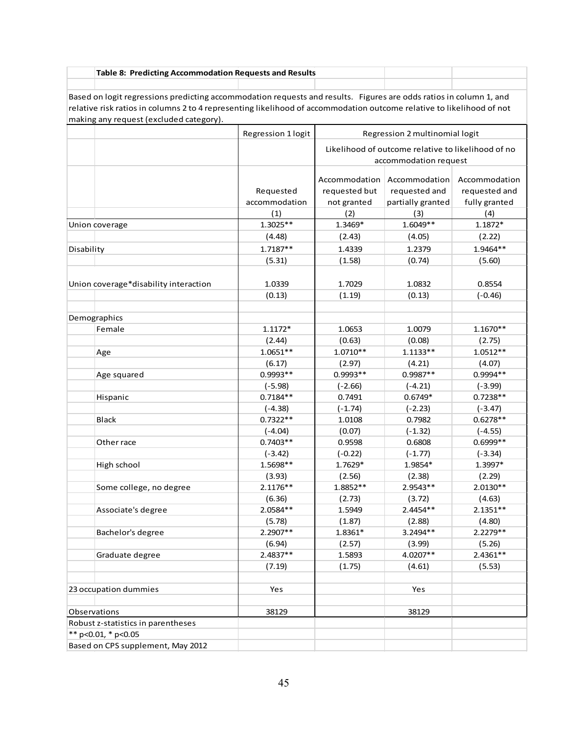| Table 8: Predicting Accommodation Requests and Results |  |  |
|--------------------------------------------------------|--|--|
|                                                        |  |  |

Based on logit regressions predicting accommodation requests and results. Figures are odds ratios in column 1, and relative risk ratios in columns 2 to 4 representing likelihood of accommodation outcome relative to likelihood of not making any request (excluded category).

| Likelihood of outcome relative to likelihood of no<br>accommodation request<br>Accommodation<br>Accommodation<br>Accommodation<br>Requested<br>requested but<br>requested and<br>requested and<br>accommodation<br>not granted<br>partially granted<br>fully granted<br>(4)<br>(1)<br>(2)<br>(3)<br>$1.3025**$<br>$1.6049**$<br>1.3469*<br>1.1872*<br>Union coverage<br>(4.48)<br>(2.43)<br>(4.05)<br>(2.22)<br>$1.7187**$<br>1.4339<br>1.9464**<br>1.2379<br>Disability<br>(5.31)<br>(1.58)<br>(0.74)<br>(5.60)<br>1.0339<br>1.7029<br>1.0832<br>0.8554<br>Union coverage*disability interaction<br>(0.13)<br>(1.19)<br>(0.13)<br>$(-0.46)$<br>Demographics<br>$1.1172*$<br>1.0653<br>1.0079<br>$1.1670**$<br>Female<br>(2.44)<br>(0.63)<br>(0.08)<br>(2.75)<br>$1.0651**$<br>$1.0710**$<br>$1.1133**$<br>$1.0512**$<br>Age<br>(6.17)<br>(2.97)<br>(4.07)<br>(4.21)<br>0.9993**<br>0.9993**<br>$0.9987**$<br>0.9994 **<br>Age squared<br>$(-5.98)$<br>$(-3.99)$<br>$(-2.66)$<br>$(-4.21)$<br>$0.7184**$<br>$0.7238**$<br>0.7491<br>$0.6749*$<br>Hispanic<br>$(-4.38)$<br>$(-1.74)$<br>$(-2.23)$<br>$(-3.47)$<br>$0.7322**$<br>$0.6278**$<br>1.0108<br>0.7982<br>Black<br>(0.07)<br>$(-1.32)$<br>$(-4.04)$<br>$(-4.55)$<br>$0.7403**$<br>0.6999**<br>0.9598<br>0.6808<br>Other race<br>$(-0.22)$<br>$(-1.77)$<br>$(-3.42)$<br>$(-3.34)$<br>1.5698**<br>1.7629*<br>1.9854*<br>1.3997*<br>High school<br>(2.29)<br>(3.93)<br>(2.56)<br>(2.38)<br>$2.1176**$<br>1.8852**<br>2.9543**<br>$2.0130**$<br>Some college, no degree<br>(6.36)<br>(2.73)<br>(3.72)<br>(4.63)<br>2.0584**<br>2.4454 **<br>1.5949<br>$2.1351**$<br>Associate's degree<br>(5.78)<br>(1.87)<br>(2.88)<br>(4.80)<br>2.2907**<br>1.8361*<br>3.2494**<br>2.2279 **<br>Bachelor's degree<br>(6.94)<br>(2.57)<br>(3.99)<br>(5.26)<br>$2.4837**$<br>4.0207**<br>2.4361**<br>1.5893<br>Graduate degree<br>(1.75)<br>(4.61)<br>(5.53)<br>(7.19)<br>23 occupation dummies<br>Yes<br>Yes<br>Observations<br>38129<br>38129<br>Robust z-statistics in parentheses<br>** $p<0.01$ , * $p<0.05$ |                                   | Regression 1 logit | Regression 2 multinomial logit |  |  |  |  |
|------------------------------------------------------------------------------------------------------------------------------------------------------------------------------------------------------------------------------------------------------------------------------------------------------------------------------------------------------------------------------------------------------------------------------------------------------------------------------------------------------------------------------------------------------------------------------------------------------------------------------------------------------------------------------------------------------------------------------------------------------------------------------------------------------------------------------------------------------------------------------------------------------------------------------------------------------------------------------------------------------------------------------------------------------------------------------------------------------------------------------------------------------------------------------------------------------------------------------------------------------------------------------------------------------------------------------------------------------------------------------------------------------------------------------------------------------------------------------------------------------------------------------------------------------------------------------------------------------------------------------------------------------------------------------------------------------------------------------------------------------------------------------------------------------------------------------------------------------------------------------------------------------------------------------------------------------------------------------------------------------------------------------------------------------|-----------------------------------|--------------------|--------------------------------|--|--|--|--|
|                                                                                                                                                                                                                                                                                                                                                                                                                                                                                                                                                                                                                                                                                                                                                                                                                                                                                                                                                                                                                                                                                                                                                                                                                                                                                                                                                                                                                                                                                                                                                                                                                                                                                                                                                                                                                                                                                                                                                                                                                                                      |                                   |                    |                                |  |  |  |  |
|                                                                                                                                                                                                                                                                                                                                                                                                                                                                                                                                                                                                                                                                                                                                                                                                                                                                                                                                                                                                                                                                                                                                                                                                                                                                                                                                                                                                                                                                                                                                                                                                                                                                                                                                                                                                                                                                                                                                                                                                                                                      |                                   |                    |                                |  |  |  |  |
|                                                                                                                                                                                                                                                                                                                                                                                                                                                                                                                                                                                                                                                                                                                                                                                                                                                                                                                                                                                                                                                                                                                                                                                                                                                                                                                                                                                                                                                                                                                                                                                                                                                                                                                                                                                                                                                                                                                                                                                                                                                      |                                   |                    |                                |  |  |  |  |
|                                                                                                                                                                                                                                                                                                                                                                                                                                                                                                                                                                                                                                                                                                                                                                                                                                                                                                                                                                                                                                                                                                                                                                                                                                                                                                                                                                                                                                                                                                                                                                                                                                                                                                                                                                                                                                                                                                                                                                                                                                                      |                                   |                    |                                |  |  |  |  |
|                                                                                                                                                                                                                                                                                                                                                                                                                                                                                                                                                                                                                                                                                                                                                                                                                                                                                                                                                                                                                                                                                                                                                                                                                                                                                                                                                                                                                                                                                                                                                                                                                                                                                                                                                                                                                                                                                                                                                                                                                                                      |                                   |                    |                                |  |  |  |  |
|                                                                                                                                                                                                                                                                                                                                                                                                                                                                                                                                                                                                                                                                                                                                                                                                                                                                                                                                                                                                                                                                                                                                                                                                                                                                                                                                                                                                                                                                                                                                                                                                                                                                                                                                                                                                                                                                                                                                                                                                                                                      |                                   |                    |                                |  |  |  |  |
|                                                                                                                                                                                                                                                                                                                                                                                                                                                                                                                                                                                                                                                                                                                                                                                                                                                                                                                                                                                                                                                                                                                                                                                                                                                                                                                                                                                                                                                                                                                                                                                                                                                                                                                                                                                                                                                                                                                                                                                                                                                      |                                   |                    |                                |  |  |  |  |
|                                                                                                                                                                                                                                                                                                                                                                                                                                                                                                                                                                                                                                                                                                                                                                                                                                                                                                                                                                                                                                                                                                                                                                                                                                                                                                                                                                                                                                                                                                                                                                                                                                                                                                                                                                                                                                                                                                                                                                                                                                                      |                                   |                    |                                |  |  |  |  |
|                                                                                                                                                                                                                                                                                                                                                                                                                                                                                                                                                                                                                                                                                                                                                                                                                                                                                                                                                                                                                                                                                                                                                                                                                                                                                                                                                                                                                                                                                                                                                                                                                                                                                                                                                                                                                                                                                                                                                                                                                                                      |                                   |                    |                                |  |  |  |  |
|                                                                                                                                                                                                                                                                                                                                                                                                                                                                                                                                                                                                                                                                                                                                                                                                                                                                                                                                                                                                                                                                                                                                                                                                                                                                                                                                                                                                                                                                                                                                                                                                                                                                                                                                                                                                                                                                                                                                                                                                                                                      |                                   |                    |                                |  |  |  |  |
|                                                                                                                                                                                                                                                                                                                                                                                                                                                                                                                                                                                                                                                                                                                                                                                                                                                                                                                                                                                                                                                                                                                                                                                                                                                                                                                                                                                                                                                                                                                                                                                                                                                                                                                                                                                                                                                                                                                                                                                                                                                      |                                   |                    |                                |  |  |  |  |
|                                                                                                                                                                                                                                                                                                                                                                                                                                                                                                                                                                                                                                                                                                                                                                                                                                                                                                                                                                                                                                                                                                                                                                                                                                                                                                                                                                                                                                                                                                                                                                                                                                                                                                                                                                                                                                                                                                                                                                                                                                                      |                                   |                    |                                |  |  |  |  |
|                                                                                                                                                                                                                                                                                                                                                                                                                                                                                                                                                                                                                                                                                                                                                                                                                                                                                                                                                                                                                                                                                                                                                                                                                                                                                                                                                                                                                                                                                                                                                                                                                                                                                                                                                                                                                                                                                                                                                                                                                                                      |                                   |                    |                                |  |  |  |  |
|                                                                                                                                                                                                                                                                                                                                                                                                                                                                                                                                                                                                                                                                                                                                                                                                                                                                                                                                                                                                                                                                                                                                                                                                                                                                                                                                                                                                                                                                                                                                                                                                                                                                                                                                                                                                                                                                                                                                                                                                                                                      |                                   |                    |                                |  |  |  |  |
|                                                                                                                                                                                                                                                                                                                                                                                                                                                                                                                                                                                                                                                                                                                                                                                                                                                                                                                                                                                                                                                                                                                                                                                                                                                                                                                                                                                                                                                                                                                                                                                                                                                                                                                                                                                                                                                                                                                                                                                                                                                      |                                   |                    |                                |  |  |  |  |
|                                                                                                                                                                                                                                                                                                                                                                                                                                                                                                                                                                                                                                                                                                                                                                                                                                                                                                                                                                                                                                                                                                                                                                                                                                                                                                                                                                                                                                                                                                                                                                                                                                                                                                                                                                                                                                                                                                                                                                                                                                                      |                                   |                    |                                |  |  |  |  |
|                                                                                                                                                                                                                                                                                                                                                                                                                                                                                                                                                                                                                                                                                                                                                                                                                                                                                                                                                                                                                                                                                                                                                                                                                                                                                                                                                                                                                                                                                                                                                                                                                                                                                                                                                                                                                                                                                                                                                                                                                                                      |                                   |                    |                                |  |  |  |  |
|                                                                                                                                                                                                                                                                                                                                                                                                                                                                                                                                                                                                                                                                                                                                                                                                                                                                                                                                                                                                                                                                                                                                                                                                                                                                                                                                                                                                                                                                                                                                                                                                                                                                                                                                                                                                                                                                                                                                                                                                                                                      |                                   |                    |                                |  |  |  |  |
|                                                                                                                                                                                                                                                                                                                                                                                                                                                                                                                                                                                                                                                                                                                                                                                                                                                                                                                                                                                                                                                                                                                                                                                                                                                                                                                                                                                                                                                                                                                                                                                                                                                                                                                                                                                                                                                                                                                                                                                                                                                      |                                   |                    |                                |  |  |  |  |
|                                                                                                                                                                                                                                                                                                                                                                                                                                                                                                                                                                                                                                                                                                                                                                                                                                                                                                                                                                                                                                                                                                                                                                                                                                                                                                                                                                                                                                                                                                                                                                                                                                                                                                                                                                                                                                                                                                                                                                                                                                                      |                                   |                    |                                |  |  |  |  |
|                                                                                                                                                                                                                                                                                                                                                                                                                                                                                                                                                                                                                                                                                                                                                                                                                                                                                                                                                                                                                                                                                                                                                                                                                                                                                                                                                                                                                                                                                                                                                                                                                                                                                                                                                                                                                                                                                                                                                                                                                                                      |                                   |                    |                                |  |  |  |  |
|                                                                                                                                                                                                                                                                                                                                                                                                                                                                                                                                                                                                                                                                                                                                                                                                                                                                                                                                                                                                                                                                                                                                                                                                                                                                                                                                                                                                                                                                                                                                                                                                                                                                                                                                                                                                                                                                                                                                                                                                                                                      |                                   |                    |                                |  |  |  |  |
|                                                                                                                                                                                                                                                                                                                                                                                                                                                                                                                                                                                                                                                                                                                                                                                                                                                                                                                                                                                                                                                                                                                                                                                                                                                                                                                                                                                                                                                                                                                                                                                                                                                                                                                                                                                                                                                                                                                                                                                                                                                      |                                   |                    |                                |  |  |  |  |
|                                                                                                                                                                                                                                                                                                                                                                                                                                                                                                                                                                                                                                                                                                                                                                                                                                                                                                                                                                                                                                                                                                                                                                                                                                                                                                                                                                                                                                                                                                                                                                                                                                                                                                                                                                                                                                                                                                                                                                                                                                                      |                                   |                    |                                |  |  |  |  |
|                                                                                                                                                                                                                                                                                                                                                                                                                                                                                                                                                                                                                                                                                                                                                                                                                                                                                                                                                                                                                                                                                                                                                                                                                                                                                                                                                                                                                                                                                                                                                                                                                                                                                                                                                                                                                                                                                                                                                                                                                                                      |                                   |                    |                                |  |  |  |  |
|                                                                                                                                                                                                                                                                                                                                                                                                                                                                                                                                                                                                                                                                                                                                                                                                                                                                                                                                                                                                                                                                                                                                                                                                                                                                                                                                                                                                                                                                                                                                                                                                                                                                                                                                                                                                                                                                                                                                                                                                                                                      |                                   |                    |                                |  |  |  |  |
|                                                                                                                                                                                                                                                                                                                                                                                                                                                                                                                                                                                                                                                                                                                                                                                                                                                                                                                                                                                                                                                                                                                                                                                                                                                                                                                                                                                                                                                                                                                                                                                                                                                                                                                                                                                                                                                                                                                                                                                                                                                      |                                   |                    |                                |  |  |  |  |
|                                                                                                                                                                                                                                                                                                                                                                                                                                                                                                                                                                                                                                                                                                                                                                                                                                                                                                                                                                                                                                                                                                                                                                                                                                                                                                                                                                                                                                                                                                                                                                                                                                                                                                                                                                                                                                                                                                                                                                                                                                                      |                                   |                    |                                |  |  |  |  |
|                                                                                                                                                                                                                                                                                                                                                                                                                                                                                                                                                                                                                                                                                                                                                                                                                                                                                                                                                                                                                                                                                                                                                                                                                                                                                                                                                                                                                                                                                                                                                                                                                                                                                                                                                                                                                                                                                                                                                                                                                                                      |                                   |                    |                                |  |  |  |  |
|                                                                                                                                                                                                                                                                                                                                                                                                                                                                                                                                                                                                                                                                                                                                                                                                                                                                                                                                                                                                                                                                                                                                                                                                                                                                                                                                                                                                                                                                                                                                                                                                                                                                                                                                                                                                                                                                                                                                                                                                                                                      |                                   |                    |                                |  |  |  |  |
|                                                                                                                                                                                                                                                                                                                                                                                                                                                                                                                                                                                                                                                                                                                                                                                                                                                                                                                                                                                                                                                                                                                                                                                                                                                                                                                                                                                                                                                                                                                                                                                                                                                                                                                                                                                                                                                                                                                                                                                                                                                      |                                   |                    |                                |  |  |  |  |
|                                                                                                                                                                                                                                                                                                                                                                                                                                                                                                                                                                                                                                                                                                                                                                                                                                                                                                                                                                                                                                                                                                                                                                                                                                                                                                                                                                                                                                                                                                                                                                                                                                                                                                                                                                                                                                                                                                                                                                                                                                                      |                                   |                    |                                |  |  |  |  |
|                                                                                                                                                                                                                                                                                                                                                                                                                                                                                                                                                                                                                                                                                                                                                                                                                                                                                                                                                                                                                                                                                                                                                                                                                                                                                                                                                                                                                                                                                                                                                                                                                                                                                                                                                                                                                                                                                                                                                                                                                                                      |                                   |                    |                                |  |  |  |  |
|                                                                                                                                                                                                                                                                                                                                                                                                                                                                                                                                                                                                                                                                                                                                                                                                                                                                                                                                                                                                                                                                                                                                                                                                                                                                                                                                                                                                                                                                                                                                                                                                                                                                                                                                                                                                                                                                                                                                                                                                                                                      |                                   |                    |                                |  |  |  |  |
|                                                                                                                                                                                                                                                                                                                                                                                                                                                                                                                                                                                                                                                                                                                                                                                                                                                                                                                                                                                                                                                                                                                                                                                                                                                                                                                                                                                                                                                                                                                                                                                                                                                                                                                                                                                                                                                                                                                                                                                                                                                      |                                   |                    |                                |  |  |  |  |
|                                                                                                                                                                                                                                                                                                                                                                                                                                                                                                                                                                                                                                                                                                                                                                                                                                                                                                                                                                                                                                                                                                                                                                                                                                                                                                                                                                                                                                                                                                                                                                                                                                                                                                                                                                                                                                                                                                                                                                                                                                                      |                                   |                    |                                |  |  |  |  |
|                                                                                                                                                                                                                                                                                                                                                                                                                                                                                                                                                                                                                                                                                                                                                                                                                                                                                                                                                                                                                                                                                                                                                                                                                                                                                                                                                                                                                                                                                                                                                                                                                                                                                                                                                                                                                                                                                                                                                                                                                                                      | Based on CPS supplement, May 2012 |                    |                                |  |  |  |  |